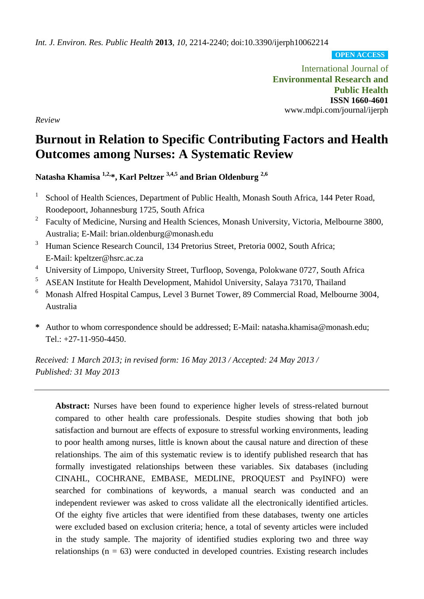*Int. J. Environ. Res. Public Health* **2013**, *10*, 2214-2240; doi:10.3390/ijerph10062214

**OPEN ACCESS**

International Journal of **Environmental Research and Public Health ISSN 1660-4601** www.mdpi.com/journal/ijerph

*Review*

# **Burnout in Relation to Specific Contributing Factors and Health Outcomes among Nurses: A Systematic Review**

**Natasha Khamisa 1,2,\*, Karl Peltzer 3,4,5 and Brian Oldenburg 2,6**

- 1 School of Health Sciences, Department of Public Health, Monash South Africa, 144 Peter Road, Roodepoort, Johannesburg 1725, South Africa
- 2 Faculty of Medicine, Nursing and Health Sciences, Monash University, Victoria, Melbourne 3800, Australia; E-Mail: brian.oldenburg@monash.edu
- <sup>3</sup> Human Science Research Council, 134 Pretorius Street, Pretoria 0002, South Africa; E-Mail: kpeltzer@hsrc.ac.za
- <sup>4</sup> University of Limpopo, University Street, Turfloop, Sovenga, Polokwane 0727, South Africa
- <sup>5</sup> ASEAN Institute for Health Development, Mahidol University, Salaya 73170, Thailand
- <sup>6</sup> Monash Alfred Hospital Campus, Level 3 Burnet Tower, 89 Commercial Road, Melbourne 3004, Australia
- **\*** Author to whom correspondence should be addressed; E-Mail: natasha.khamisa@monash.edu; Tel.: +27-11-950-4450.

*Received: 1 March 2013; in revised form: 16 May 2013 / Accepted: 24 May 2013 / Published: 31 May 2013*

**Abstract:** Nurses have been found to experience higher levels of stress-related burnout compared to other health care professionals. Despite studies showing that both job satisfaction and burnout are effects of exposure to stressful working environments, leading to poor health among nurses, little is known about the causal nature and direction of these relationships. The aim of this systematic review is to identify published research that has formally investigated relationships between these variables. Six databases (including CINAHL, COCHRANE, EMBASE, MEDLINE, PROQUEST and PsyINFO) were searched for combinations of keywords, a manual search was conducted and an independent reviewer was asked to cross validate all the electronically identified articles. Of the eighty five articles that were identified from these databases, twenty one articles were excluded based on exclusion criteria; hence, a total of seventy articles were included in the study sample. The majority of identified studies exploring two and three way relationships  $(n = 63)$  were conducted in developed countries. Existing research includes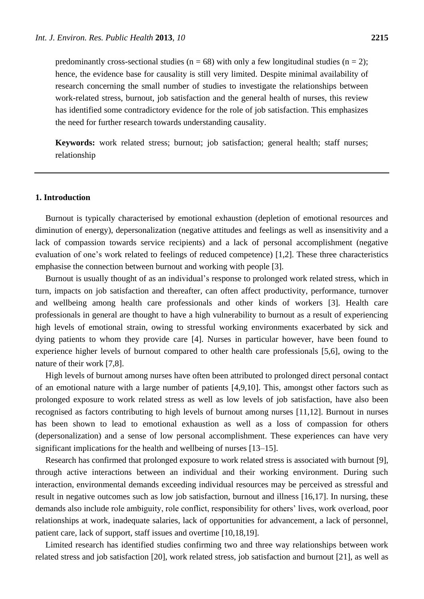predominantly cross-sectional studies ( $n = 68$ ) with only a few longitudinal studies ( $n = 2$ ); hence, the evidence base for causality is still very limited. Despite minimal availability of research concerning the small number of studies to investigate the relationships between work-related stress, burnout, job satisfaction and the general health of nurses, this review has identified some contradictory evidence for the role of job satisfaction. This emphasizes the need for further research towards understanding causality.

**Keywords:** work related stress; burnout; job satisfaction; general health; staff nurses; relationship

#### **1. Introduction**

Burnout is typically characterised by emotional exhaustion (depletion of emotional resources and diminution of energy), depersonalization (negative attitudes and feelings as well as insensitivity and a lack of compassion towards service recipients) and a lack of personal accomplishment (negative evaluation of one's work related to feelings of reduced competence) [1,2]. These three characteristics emphasise the connection between burnout and working with people [3].

Burnout is usually thought of as an individual's response to prolonged work related stress, which in turn, impacts on job satisfaction and thereafter, can often affect productivity, performance, turnover and wellbeing among health care professionals and other kinds of workers [3]. Health care professionals in general are thought to have a high vulnerability to burnout as a result of experiencing high levels of emotional strain, owing to stressful working environments exacerbated by sick and dying patients to whom they provide care [4]. Nurses in particular however, have been found to experience higher levels of burnout compared to other health care professionals [5,6], owing to the nature of their work [7,8].

High levels of burnout among nurses have often been attributed to prolonged direct personal contact of an emotional nature with a large number of patients [4,9,10]. This, amongst other factors such as prolonged exposure to work related stress as well as low levels of job satisfaction, have also been recognised as factors contributing to high levels of burnout among nurses [11,12]. Burnout in nurses has been shown to lead to emotional exhaustion as well as a loss of compassion for others (depersonalization) and a sense of low personal accomplishment. These experiences can have very significant implications for the health and wellbeing of nurses [13–15].

Research has confirmed that prolonged exposure to work related stress is associated with burnout [9], through active interactions between an individual and their working environment. During such interaction, environmental demands exceeding individual resources may be perceived as stressful and result in negative outcomes such as low job satisfaction, burnout and illness [16,17]. In nursing, these demands also include role ambiguity, role conflict, responsibility for others' lives, work overload, poor relationships at work, inadequate salaries, lack of opportunities for advancement, a lack of personnel, patient care, lack of support, staff issues and overtime [10,18,19].

Limited research has identified studies confirming two and three way relationships between work related stress and job satisfaction [20], work related stress, job satisfaction and burnout [21], as well as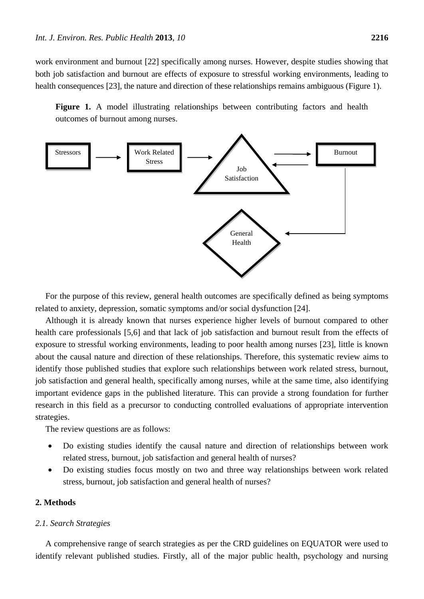work environment and burnout [22] specifically among nurses. However, despite studies showing that both job satisfaction and burnout are effects of exposure to stressful working environments, leading to health consequences [23], the nature and direction of these relationships remains ambiguous (Figure 1).

Figure 1. A model illustrating relationships between contributing factors and health outcomes of burnout among nurses.



For the purpose of this review, general health outcomes are specifically defined as being symptoms related to anxiety, depression, somatic symptoms and/or social dysfunction [24].

Although it is already known that nurses experience higher levels of burnout compared to other health care professionals [5,6] and that lack of job satisfaction and burnout result from the effects of exposure to stressful working environments, leading to poor health among nurses [23], little is known about the causal nature and direction of these relationships. Therefore, this systematic review aims to identify those published studies that explore such relationships between work related stress, burnout, job satisfaction and general health, specifically among nurses, while at the same time, also identifying important evidence gaps in the published literature. This can provide a strong foundation for further research in this field as a precursor to conducting controlled evaluations of appropriate intervention strategies.

The review questions are as follows:

- Do existing studies identify the causal nature and direction of relationships between work related stress, burnout, job satisfaction and general health of nurses?
- Do existing studies focus mostly on two and three way relationships between work related stress, burnout, job satisfaction and general health of nurses?

# **2. Methods**

#### *2.1. Search Strategies*

A comprehensive range of search strategies as per the CRD guidelines on EQUATOR were used to identify relevant published studies. Firstly, all of the major public health, psychology and nursing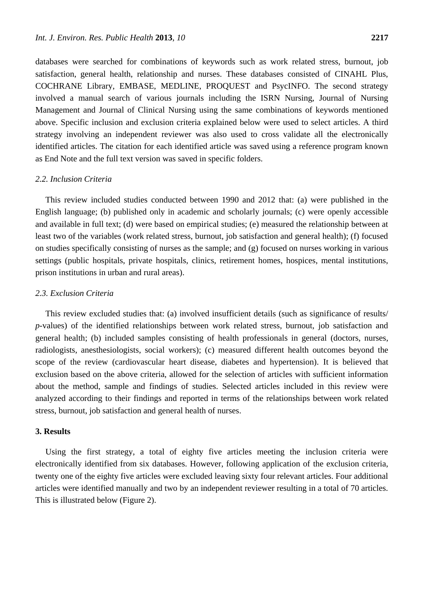databases were searched for combinations of keywords such as work related stress, burnout, job satisfaction, general health, relationship and nurses. These databases consisted of CINAHL Plus, COCHRANE Library, EMBASE, MEDLINE, PROQUEST and PsycINFO. The second strategy involved a manual search of various journals including the ISRN Nursing, Journal of Nursing Management and Journal of Clinical Nursing using the same combinations of keywords mentioned above. Specific inclusion and exclusion criteria explained below were used to select articles. A third strategy involving an independent reviewer was also used to cross validate all the electronically identified articles. The citation for each identified article was saved using a reference program known as End Note and the full text version was saved in specific folders.

## *2.2. Inclusion Criteria*

This review included studies conducted between 1990 and 2012 that: (a) were published in the English language; (b) published only in academic and scholarly journals; (c) were openly accessible and available in full text; (d) were based on empirical studies; (e) measured the relationship between at least two of the variables (work related stress, burnout, job satisfaction and general health); (f) focused on studies specifically consisting of nurses as the sample; and (g) focused on nurses working in various settings (public hospitals, private hospitals, clinics, retirement homes, hospices, mental institutions, prison institutions in urban and rural areas).

## *2.3. Exclusion Criteria*

This review excluded studies that: (a) involved insufficient details (such as significance of results/ *p*-values) of the identified relationships between work related stress, burnout, job satisfaction and general health; (b) included samples consisting of health professionals in general (doctors, nurses, radiologists, anesthesiologists, social workers); (c) measured different health outcomes beyond the scope of the review (cardiovascular heart disease, diabetes and hypertension). It is believed that exclusion based on the above criteria, allowed for the selection of articles with sufficient information about the method, sample and findings of studies. Selected articles included in this review were analyzed according to their findings and reported in terms of the relationships between work related stress, burnout, job satisfaction and general health of nurses.

## **3. Results**

Using the first strategy, a total of eighty five articles meeting the inclusion criteria were electronically identified from six databases. However, following application of the exclusion criteria, twenty one of the eighty five articles were excluded leaving sixty four relevant articles. Four additional articles were identified manually and two by an independent reviewer resulting in a total of 70 articles. This is illustrated below (Figure 2).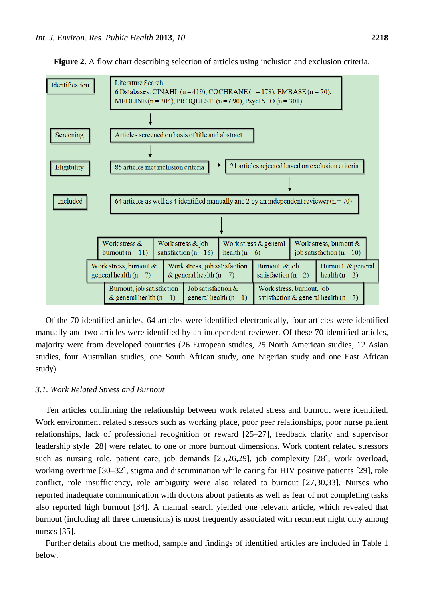

**Figure 2.** A flow chart describing selection of articles using inclusion and exclusion criteria.

Of the 70 identified articles, 64 articles were identified electronically, four articles were identified manually and two articles were identified by an independent reviewer. Of these 70 identified articles, majority were from developed countries (26 European studies, 25 North American studies, 12 Asian studies, four Australian studies, one South African study, one Nigerian study and one East African study).

## *3.1. Work Related Stress and Burnout*

Ten articles confirming the relationship between work related stress and burnout were identified. Work environment related stressors such as working place, poor peer relationships, poor nurse patient relationships, lack of professional recognition or reward [25–27], feedback clarity and supervisor leadership style [28] were related to one or more burnout dimensions. Work content related stressors such as nursing role, patient care, job demands [25,26,29], job complexity [28], work overload, working overtime [30–32], stigma and discrimination while caring for HIV positive patients [29], role conflict, role insufficiency, role ambiguity were also related to burnout [27,30,33]. Nurses who reported inadequate communication with doctors about patients as well as fear of not completing tasks also reported high burnout [34]. A manual search yielded one relevant article, which revealed that burnout (including all three dimensions) is most frequently associated with recurrent night duty among nurses [35].

Further details about the method, sample and findings of identified articles are included in Table 1 below.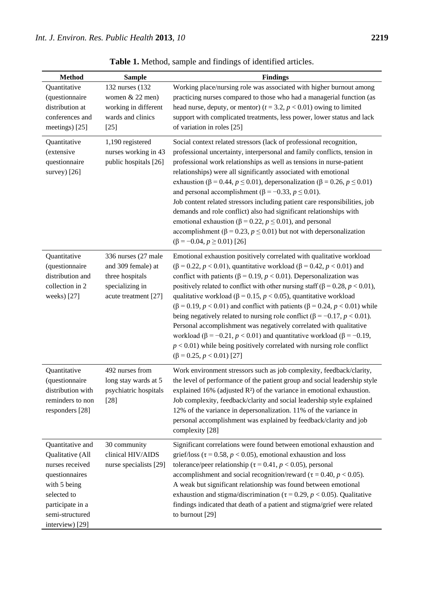| <b>Method</b>                                                                                                                                                      | <b>Sample</b>                                                                                           | <b>Findings</b>                                                                                                                                                                                                                                                                                                                                                                                                                                                                                                                                                                                                                                                                                                                                                                                                                                                        |
|--------------------------------------------------------------------------------------------------------------------------------------------------------------------|---------------------------------------------------------------------------------------------------------|------------------------------------------------------------------------------------------------------------------------------------------------------------------------------------------------------------------------------------------------------------------------------------------------------------------------------------------------------------------------------------------------------------------------------------------------------------------------------------------------------------------------------------------------------------------------------------------------------------------------------------------------------------------------------------------------------------------------------------------------------------------------------------------------------------------------------------------------------------------------|
| Quantitative<br>(questionnaire<br>distribution at                                                                                                                  | 132 nurses (132)<br>women & 22 men)<br>working in different                                             | Working place/nursing role was associated with higher burnout among<br>practicing nurses compared to those who had a managerial function (as<br>head nurse, deputy, or mentor) ( $t = 3.2$ , $p < 0.01$ ) owing to limited                                                                                                                                                                                                                                                                                                                                                                                                                                                                                                                                                                                                                                             |
| conferences and<br>meetings) [25]                                                                                                                                  | wards and clinics<br>$[25]$                                                                             | support with complicated treatments, less power, lower status and lack<br>of variation in roles [25]                                                                                                                                                                                                                                                                                                                                                                                                                                                                                                                                                                                                                                                                                                                                                                   |
| Quantitative<br>(extensive<br>questionnaire<br>survey $[26]$                                                                                                       | 1,190 registered<br>nurses working in 43<br>public hospitals [26]                                       | Social context related stressors (lack of professional recognition,<br>professional uncertainty, interpersonal and family conflicts, tension in<br>professional work relationships as well as tensions in nurse-patient<br>relationships) were all significantly associated with emotional<br>exhaustion ( $\beta$ = 0.44, $p \le 0.01$ ), depersonalization ( $\beta$ = 0.26, $p \le 0.01$ )<br>and personal accomplishment ( $\beta$ = -0.33, $p \le 0.01$ ).<br>Job content related stressors including patient care responsibilities, job<br>demands and role conflict) also had significant relationships with<br>emotional exhaustion ( $\beta$ = 0.22, $p \le 0.01$ ), and personal<br>accomplishment ( $\beta$ = 0.23, $p \le 0.01$ ) but not with depersonalization<br>$(\beta = -0.04, p \ge 0.01)$ [26]                                                     |
| Quantitative<br>(questionnaire<br>distribution and<br>collection in 2<br>weeks) [27]                                                                               | 336 nurses (27 male<br>and 309 female) at<br>three hospitals<br>specializing in<br>acute treatment [27] | Emotional exhaustion positively correlated with qualitative workload<br>$(\beta = 0.22, p < 0.01)$ , quantitative workload ( $\beta = 0.42, p < 0.01$ ) and<br>conflict with patients ( $\beta$ = 0.19, $p$ < 0.01). Depersonalization was<br>positively related to conflict with other nursing staff ( $\beta$ = 0.28, $p$ < 0.01),<br>qualitative workload ( $\beta$ = 0.15, $p$ < 0.05), quantitative workload<br>$(β = 0.19, p < 0.01)$ and conflict with patients (β = 0.24, p < 0.01) while<br>being negatively related to nursing role conflict ( $\beta = -0.17$ , $p < 0.01$ ).<br>Personal accomplishment was negatively correlated with qualitative<br>workload ( $\beta$ = -0.21, $p$ < 0.01) and quantitative workload ( $\beta$ = -0.19,<br>$p < 0.01$ ) while being positively correlated with nursing role conflict<br>$(\beta = 0.25, p < 0.01)$ [27] |
| Quantitative<br>(questionnaire<br>distribution with<br>reminders to non<br>responders [28]                                                                         | 492 nurses from<br>long stay wards at 5<br>psychiatric hospitals<br>$[28]$                              | Work environment stressors such as job complexity, feedback/clarity,<br>the level of performance of the patient group and social leadership style<br>explained 16% (adjusted $R$ $\frac{3}{7}$ of the variance in emotional exhaustion.<br>Job complexity, feedback/clarity and social leadership style explained<br>12% of the variance in depersonalization. 11% of the variance in<br>personal accomplishment was explained by feedback/clarity and job<br>complexity [28]                                                                                                                                                                                                                                                                                                                                                                                          |
| Quantitative and<br>Qualitative (All<br>nurses received<br>questionnaires<br>with 5 being<br>selected to<br>participate in a<br>semi-structured<br>interview) [29] | 30 community<br>clinical HIV/AIDS<br>nurse specialists [29]                                             | Significant correlations were found between emotional exhaustion and<br>grief/loss ( $\tau$ = 0.58, $p$ < 0.05), emotional exhaustion and loss<br>tolerance/peer relationship ( $\tau$ = 0.41, $p$ < 0.05), personal<br>accomplishment and social recognition/reward ( $\tau$ = 0.40, $p$ < 0.05).<br>A weak but significant relationship was found between emotional<br>exhaustion and stigma/discrimination ( $\tau$ = 0.29, $p$ < 0.05). Qualitative<br>findings indicated that death of a patient and stigma/grief were related<br>to burnout [29]                                                                                                                                                                                                                                                                                                                 |

**Table 1.** Method, sample and findings of identified articles.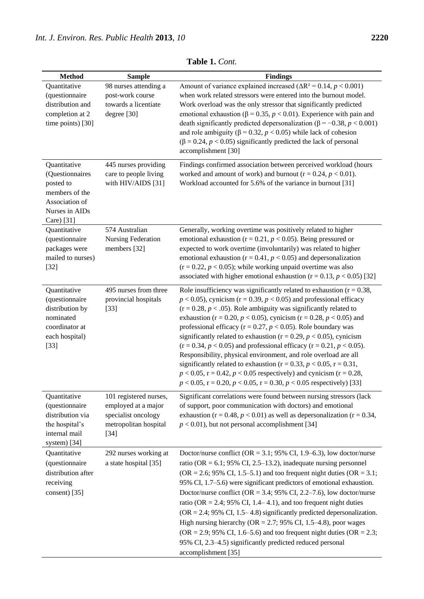| <b>Method</b>                                                                                                    | <b>Sample</b>                                                                                           | <b>Findings</b>                                                                                                                                                                                                                                                                                                                                                                                                                                                                                                                                                                                                                                                                                                                                                                                                                                       |
|------------------------------------------------------------------------------------------------------------------|---------------------------------------------------------------------------------------------------------|-------------------------------------------------------------------------------------------------------------------------------------------------------------------------------------------------------------------------------------------------------------------------------------------------------------------------------------------------------------------------------------------------------------------------------------------------------------------------------------------------------------------------------------------------------------------------------------------------------------------------------------------------------------------------------------------------------------------------------------------------------------------------------------------------------------------------------------------------------|
| Quantitative<br>(questionnaire<br>distribution and<br>completion at 2<br>time points) [30]                       | 98 nurses attending a<br>post-work course<br>towards a licentiate<br>degree $[30]$                      | Amount of variance explained increased ( $\Delta R^2$ = 0.14, p < 0.001)<br>when work related stressors were entered into the burnout model.<br>Work overload was the only stressor that significantly predicted<br>emotional exhaustion ( $\beta$ = 0.35, $p$ < 0.01). Experience with pain and<br>death significantly predicted depersonalization ( $\beta$ = -0.38, <i>p</i> < 0.001)<br>and role ambiguity ( $\beta$ = 0.32, $p$ < 0.05) while lack of cohesion<br>$(\beta = 0.24, p < 0.05)$ significantly predicted the lack of personal<br>accomplishment [30]                                                                                                                                                                                                                                                                                 |
| Quantitative<br>(Questionnaires<br>posted to<br>members of the<br>Association of<br>Nurses in AIDs<br>Care) [31] | 445 nurses providing<br>care to people living<br>with HIV/AIDS [31]                                     | Findings confirmed association between perceived workload (hours<br>worked and amount of work) and burnout ( $r = 0.24$ , $p < 0.01$ ).<br>Workload accounted for 5.6% of the variance in burnout [31]                                                                                                                                                                                                                                                                                                                                                                                                                                                                                                                                                                                                                                                |
| Quantitative<br>(questionnaire<br>packages were<br>mailed to nurses)<br>$[32]$                                   | 574 Australian<br>Nursing Federation<br>members [32]                                                    | Generally, working overtime was positively related to higher<br>emotional exhaustion ( $r = 0.21$ , $p < 0.05$ ). Being pressured or<br>expected to work overtime (involuntarily) was related to higher<br>emotional exhaustion ( $r = 0.41$ , $p < 0.05$ ) and depersonalization<br>$(r = 0.22, p < 0.05)$ ; while working unpaid overtime was also<br>associated with higher emotional exhaustion ( $r = 0.13$ , $p < 0.05$ ) [32]                                                                                                                                                                                                                                                                                                                                                                                                                  |
| Quantitative<br>(questionnaire<br>distribution by<br>nominated<br>coordinator at<br>each hospital)<br>$[33]$     | 495 nurses from three<br>provincial hospitals<br>$[33]$                                                 | Role insufficiency was significantly related to exhaustion ( $r = 0.38$ ,<br>$p < 0.05$ ), cynicism (r = 0.39, $p < 0.05$ ) and professional efficacy<br>$(r = 0.28, p < .05)$ . Role ambiguity was significantly related to<br>exhaustion (r = 0.20, $p$ < 0.05), cynicism (r = 0.28, $p$ < 0.05) and<br>professional efficacy ( $r = 0.27$ , $p < 0.05$ ). Role boundary was<br>significantly related to exhaustion ( $r = 0.29$ , $p < 0.05$ ), cynicism<br>$(r = 0.34, p < 0.05)$ and professional efficacy $(r = 0.21, p < 0.05)$ .<br>Responsibility, physical environment, and role overload are all<br>significantly related to exhaustion ( $r = 0.33$ , $p < 0.05$ , $r = 0.31$ ,<br>$p < 0.05$ , r = 0.42, $p < 0.05$ respectively) and cynicism (r = 0.28,<br>$p < 0.05$ , r = 0.20, $p < 0.05$ , r = 0.30, $p < 0.05$ respectively) [33] |
| Quantitative<br>(questionnaire<br>distribution via<br>the hospital's<br>internal mail<br>system) [34]            | 101 registered nurses,<br>employed at a major<br>specialist oncology<br>metropolitan hospital<br>$[34]$ | Significant correlations were found between nursing stressors (lack<br>of support, poor communication with doctors) and emotional<br>exhaustion ( $r = 0.48$ , $p < 0.01$ ) as well as depersonalization ( $r = 0.34$ ,<br>$p < 0.01$ ), but not personal accomplishment [34]                                                                                                                                                                                                                                                                                                                                                                                                                                                                                                                                                                         |
| Quantitative<br>(questionnaire<br>distribution after<br>receiving<br>consent) [35]                               | 292 nurses working at<br>a state hospital [35]                                                          | Doctor/nurse conflict (OR = 3.1; 95% CI, 1.9–6.3), low doctor/nurse<br>ratio (OR = $6.1$ ; 95% CI, 2.5–13.2), inadequate nursing personnel<br>(OR = 2.6; 95% CI, 1.5–5.1) and too frequent night duties (OR = 3.1;<br>95% CI, 1.7–5.6) were significant predictors of emotional exhaustion.<br>Doctor/nurse conflict (OR = 3.4; 95% CI, 2.2–7.6), low doctor/nurse<br>ratio (OR = 2.4; 95% CI, 1.4–4.1), and too frequent night duties<br>$(OR = 2.4; 95\% \text{ CI}, 1.5-4.8)$ significantly predicted depersonalization.<br>High nursing hierarchy ( $OR = 2.7$ ; 95% CI, 1.5–4.8), poor wages<br>(OR = 2.9; 95% CI, 1.6–5.6) and too frequent night duties (OR = 2.3;<br>95% CI, 2.3-4.5) significantly predicted reduced personal<br>accomplishment [35]                                                                                         |

**Table 1.** *Cont.*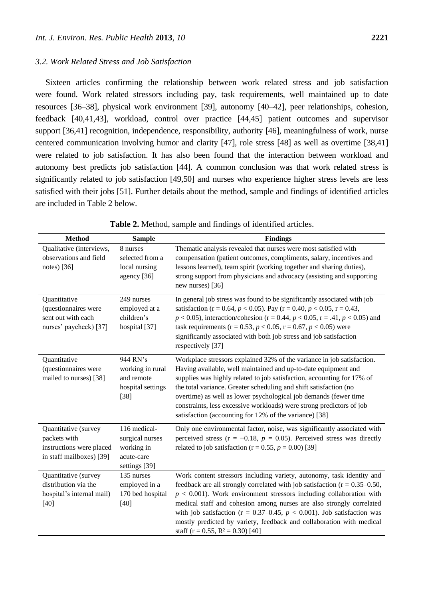#### *3.2. Work Related Stress and Job Satisfaction*

Sixteen articles confirming the relationship between work related stress and job satisfaction were found. Work related stressors including pay, task requirements, well maintained up to date resources [36–38], physical work environment [39], autonomy [40–42], peer relationships, cohesion, feedback [40,41,43], workload, control over practice [44,45] patient outcomes and supervisor support [36,41] recognition, independence, responsibility, authority [46], meaningfulness of work, nurse centered communication involving humor and clarity [47], role stress [48] as well as overtime [38,41] were related to job satisfaction. It has also been found that the interaction between workload and autonomy best predicts job satisfaction [44]. A common conclusion was that work related stress is significantly related to job satisfaction [49,50] and nurses who experience higher stress levels are less satisfied with their jobs [51]. Further details about the method, sample and findings of identified articles are included in Table 2 below.

| <b>Method</b>                                                                                | <b>Sample</b>                                                                | <b>Findings</b>                                                                                                                                                                                                                                                                                                                                                                                                                                                                                                      |
|----------------------------------------------------------------------------------------------|------------------------------------------------------------------------------|----------------------------------------------------------------------------------------------------------------------------------------------------------------------------------------------------------------------------------------------------------------------------------------------------------------------------------------------------------------------------------------------------------------------------------------------------------------------------------------------------------------------|
| Qualitative (interviews,<br>observations and field<br>notes) [36]                            | 8 nurses<br>selected from a<br>local nursing<br>agency [36]                  | Thematic analysis revealed that nurses were most satisfied with<br>compensation (patient outcomes, compliments, salary, incentives and<br>lessons learned), team spirit (working together and sharing duties),<br>strong support from physicians and advocacy (assisting and supporting<br>new nurses) [36]                                                                                                                                                                                                          |
| Quantitative<br>(questionnaires were<br>sent out with each<br>nurses' paycheck) [37]         | 249 nurses<br>employed at a<br>children's<br>hospital [37]                   | In general job stress was found to be significantly associated with job<br>satisfaction (r = 0.64, $p$ < 0.05). Pay (r = 0.40, $p$ < 0.05, r = 0.43,<br>$p < 0.05$ ), interaction/cohesion (r = 0.44, $p < 0.05$ , r = .41, $p < 0.05$ ) and<br>task requirements ( $r = 0.53$ , $p < 0.05$ , $r = 0.67$ , $p < 0.05$ ) were<br>significantly associated with both job stress and job satisfaction<br>respectively [37]                                                                                              |
| Quantitative<br>(questionnaires were<br>mailed to nurses) [38]                               | 944 RN's<br>working in rural<br>and remote<br>hospital settings<br>$[38]$    | Workplace stressors explained 32% of the variance in job satisfaction.<br>Having available, well maintained and up-to-date equipment and<br>supplies was highly related to job satisfaction, accounting for 17% of<br>the total variance. Greater scheduling and shift satisfaction (no<br>overtime) as well as lower psychological job demands (fewer time<br>constraints, less excessive workloads) were strong predictors of job<br>satisfaction (accounting for 12% of the variance) [38]                        |
| Quantitative (survey<br>packets with<br>instructions were placed<br>in staff mailboxes) [39] | 116 medical-<br>surgical nurses<br>working in<br>acute-care<br>settings [39] | Only one environmental factor, noise, was significantly associated with<br>perceived stress ( $r = -0.18$ , $p = 0.05$ ). Perceived stress was directly<br>related to job satisfaction ( $r = 0.55$ , $p = 0.00$ ) [39]                                                                                                                                                                                                                                                                                              |
| Quantitative (survey<br>distribution via the<br>hospital's internal mail)<br>$[40]$          | 135 nurses<br>employed in a<br>170 bed hospital<br>$[40]$                    | Work content stressors including variety, autonomy, task identity and<br>feedback are all strongly correlated with job satisfaction ( $r = 0.35 - 0.50$ ,<br>$p < 0.001$ ). Work environment stressors including collaboration with<br>medical staff and cohesion among nurses are also strongly correlated<br>with job satisfaction ( $r = 0.37{\text -}0.45$ , $p < 0.001$ ). Job satisfaction was<br>mostly predicted by variety, feedback and collaboration with medical<br>staff (r = 0.55, R $2 = 0.30$ ) [40] |

**Table 2.** Method, sample and findings of identified articles.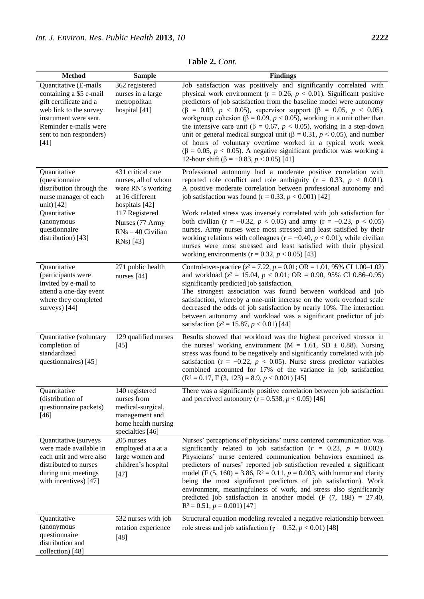| <b>Method</b>                                                                                                                                                                               | <b>Sample</b>                                                                                                   | <b>Findings</b>                                                                                                                                                                                                                                                                                                                                                                                                                                                                                                                                                                                                                                                                                                                                                          |
|---------------------------------------------------------------------------------------------------------------------------------------------------------------------------------------------|-----------------------------------------------------------------------------------------------------------------|--------------------------------------------------------------------------------------------------------------------------------------------------------------------------------------------------------------------------------------------------------------------------------------------------------------------------------------------------------------------------------------------------------------------------------------------------------------------------------------------------------------------------------------------------------------------------------------------------------------------------------------------------------------------------------------------------------------------------------------------------------------------------|
| Quantitative (E-mails<br>containing a \$5 e-mail<br>gift certificate and a<br>web link to the survey<br>instrument were sent.<br>Reminder e-mails were<br>sent to non responders)<br>$[41]$ | 362 registered<br>nurses in a large<br>metropolitan<br>hospital [41]                                            | Job satisfaction was positively and significantly correlated with<br>physical work environment ( $r = 0.26$ , $p < 0.01$ ). Significant positive<br>predictors of job satisfaction from the baseline model were autonomy<br>$(\beta = 0.09, p < 0.05)$ , supervisor support $(\beta = 0.05, p < 0.05)$ ,<br>workgroup cohesion ( $\beta = 0.09$ , $p < 0.05$ ), working in a unit other than<br>the intensive care unit ( $\beta = 0.67$ , $p < 0.05$ ), working in a step-down<br>unit or general medical surgical unit ( $\beta = 0.31$ , $p < 0.05$ ), and number<br>of hours of voluntary overtime worked in a typical work week<br>$(\beta = 0.05, p < 0.05)$ . A negative significant predictor was working a<br>12-hour shift ( $\beta$ = -0.83, $p$ < 0.05) [41] |
| Quantitative<br>(questionnaire<br>distribution through the<br>nurse manager of each<br>unit) [42]                                                                                           | 431 critical care<br>nurses, all of whom<br>were RN's working<br>at 16 different<br>hospitals [42]              | Professional autonomy had a moderate positive correlation with<br>reported role conflict and role ambiguity ( $r = 0.33$ , $p < 0.001$ ).<br>A positive moderate correlation between professional autonomy and<br>job satisfaction was found ( $r = 0.33$ , $p < 0.001$ ) [42]                                                                                                                                                                                                                                                                                                                                                                                                                                                                                           |
| Quantitative<br>(anonymous<br>questionnaire<br>distribution) [43]                                                                                                                           | 117 Registered<br>Nurses (77 Army<br>RNs - 40 Civilian<br>RNs) [43]                                             | Work related stress was inversely correlated with job satisfaction for<br>both civilian (r = -0.32, $p < 0.05$ ) and army (r = -0.23, $p < 0.05$ )<br>nurses. Army nurses were most stressed and least satisfied by their<br>working relations with colleagues ( $r = -0.40$ , $p < 0.01$ ), while civilian<br>nurses were most stressed and least satisfied with their physical<br>working environments ( $r = 0.32$ , $p < 0.05$ ) [43]                                                                                                                                                                                                                                                                                                                                |
| Quantitative<br>(participants were<br>invited by e-mail to<br>attend a one-day event<br>where they completed<br>surveys) [44]                                                               | 271 public health<br>nurses [44]                                                                                | Control-over-practice $(x = 7.22, p = 0.01; OR = 1.01, 95\% \text{ CI } 1.00-1.02)$<br>and workload ( $x^2 = 15.04$ , $p < 0.01$ ; OR = 0.90, 95% CI 0.86-0.95)<br>significantly predicted job satisfaction.<br>The strongest association was found between workload and job<br>satisfaction, whereby a one-unit increase on the work overload scale<br>decreased the odds of job satisfaction by nearly 10%. The interaction<br>between autonomy and workload was a significant predictor of job<br>satisfaction ( $x = 15.87$ , $p < 0.01$ ) [44]                                                                                                                                                                                                                      |
| Quantitative (voluntary<br>completion of<br>standardized<br>questionnaires) [45]                                                                                                            | 129 qualified nurses<br>$[45]$                                                                                  | Results showed that workload was the highest perceived stressor in<br>the nurses' working environment ( $M = 1.61$ , SD $\pm$ 0.88). Nursing<br>stress was found to be negatively and significantly correlated with job<br>satisfaction ( $r = -0.22$ , $p < 0.05$ ). Nurse stress predictor variables<br>combined accounted for 17% of the variance in job satisfaction<br>$(R2=0.17, F(3, 123) = 8.9, p < 0.001)$ [45]                                                                                                                                                                                                                                                                                                                                                 |
| Quantitative<br>(distribution of<br>questionnaire packets)<br>$[46]$                                                                                                                        | 140 registered<br>nurses from<br>medical-surgical,<br>management and<br>home health nursing<br>specialties [46] | There was a significantly positive correlation between job satisfaction<br>and perceived autonomy ( $r = 0.538$ , $p < 0.05$ ) [46]                                                                                                                                                                                                                                                                                                                                                                                                                                                                                                                                                                                                                                      |
| Quantitative (surveys<br>were made available in<br>each unit and were also<br>distributed to nurses<br>during unit meetings<br>with incentives) [47]                                        | 205 nurses<br>employed at a at a<br>large women and<br>children's hospital<br>$[47]$                            | Nurses' perceptions of physicians' nurse centered communication was<br>significantly related to job satisfaction ( $r = 0.23$ , $p = 0.002$ ).<br>Physicians' nurse centered communication behaviors examined as<br>predictors of nurses' reported job satisfaction revealed a significant<br>model (F (5, 160) = 3.86, R <sup>2</sup> = 0.11, $p = 0.003$ , with humor and clarity<br>being the most significant predictors of job satisfaction). Work<br>environment, meaningfulness of work, and stress also significantly<br>predicted job satisfaction in another model (F $(7, 188) = 27.40$ ,<br>$R^2 = 0.51, p = 0.001$ [47]                                                                                                                                     |
| Quantitative<br>(anonymous<br>questionnaire<br>distribution and<br>collection) [48]                                                                                                         | 532 nurses with job<br>rotation experience<br>$[48]$                                                            | Structural equation modeling revealed a negative relationship between<br>role stress and job satisfaction ( $\gamma$ = 0.52, p < 0.01) [48]                                                                                                                                                                                                                                                                                                                                                                                                                                                                                                                                                                                                                              |

**Table 2.** *Cont.*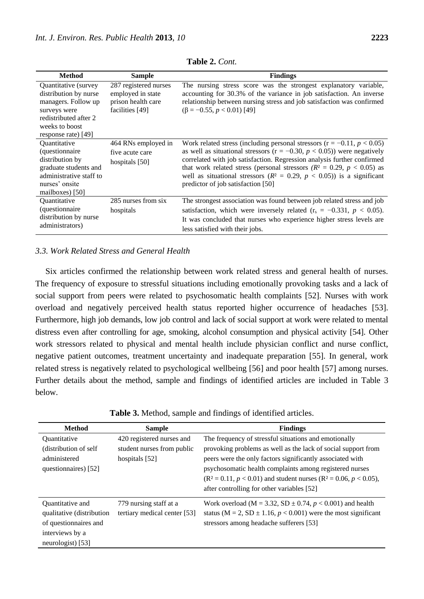| <b>Method</b>                                                                                                                                                     | Sample                                                                              | <b>Findings</b>                                                                                                                                                                                                                                                                                                                                                                                                                                  |
|-------------------------------------------------------------------------------------------------------------------------------------------------------------------|-------------------------------------------------------------------------------------|--------------------------------------------------------------------------------------------------------------------------------------------------------------------------------------------------------------------------------------------------------------------------------------------------------------------------------------------------------------------------------------------------------------------------------------------------|
| Quantitative (survey<br>distribution by nurse<br>managers. Follow up<br>surveys were<br>redistributed after 2<br>weeks to boost<br>response rate) [49]            | 287 registered nurses<br>employed in state<br>prison health care<br>facilities [49] | The nursing stress score was the strongest explanatory variable,<br>accounting for 30.3% of the variance in job satisfaction. An inverse<br>relationship between nursing stress and job satisfaction was confirmed<br>$(\beta = -0.55, p < 0.01)$ [49]                                                                                                                                                                                           |
| <i><b>Ouantitative</b></i><br><i>(questionnaire)</i><br>distribution by<br>graduate students and<br>administrative staff to<br>nurses' onsite<br>mailboxes $[50]$ | 464 RNs employed in<br>five acute care<br>hospitals $[50]$                          | Work related stress (including personal stressors $(r = -0.11, p < 0.05)$ )<br>as well as situational stressors ( $r = -0.30$ , $p < 0.05$ )) were negatively<br>correlated with job satisfaction. Regression analysis further confirmed<br>that work related stress (personal stressors ( $R^2 = 0.29$ , $p < 0.05$ ) as<br>well as situational stressors ( $R^2 = 0.29$ , $p < 0.05$ )) is a significant<br>predictor of job satisfaction [50] |
| <i><b>Ouantitative</b></i><br><i>(questionnaire)</i><br>distribution by nurse<br>administrators)                                                                  | 285 nurses from six<br>hospitals                                                    | The strongest association was found between job related stress and job<br>satisfaction, which were inversely related ( $r_s = -0.331$ , $p < 0.05$ ).<br>It was concluded that nurses who experience higher stress levels are<br>less satisfied with their jobs.                                                                                                                                                                                 |

**Table 2.** *Cont.*

# *3.3. Work Related Stress and General Health*

Six articles confirmed the relationship between work related stress and general health of nurses. The frequency of exposure to stressful situations including emotionally provoking tasks and a lack of social support from peers were related to psychosomatic health complaints [52]. Nurses with work overload and negatively perceived health status reported higher occurrence of headaches [53]. Furthermore, high job demands, low job control and lack of social support at work were related to mental distress even after controlling for age, smoking, alcohol consumption and physical activity [54]. Other work stressors related to physical and mental health include physician conflict and nurse conflict, negative patient outcomes, treatment uncertainty and inadequate preparation [55]. In general, work related stress is negatively related to psychological wellbeing [56] and poor health [57] among nurses. Further details about the method, sample and findings of identified articles are included in Table 3 below.

| <b>Method</b>                     | <b>Sample</b>                | <b>Findings</b>                                                        |
|-----------------------------------|------------------------------|------------------------------------------------------------------------|
| <i><u><b>Ouantitative</b></u></i> | 420 registered nurses and    | The frequency of stressful situations and emotionally                  |
| (distribution of self             | student nurses from public   | provoking problems as well as the lack of social support from          |
| administered                      | hospitals $[52]$             | peers were the only factors significantly associated with              |
| questionnaires) [52]              |                              | psychosomatic health complaints among registered nurses                |
|                                   |                              | $(R^2 = 0.11, p < 0.01)$ and student nurses $(R^2 = 0.06, p < 0.05)$ , |
|                                   |                              | after controlling for other variables [52]                             |
| Quantitative and                  | 779 nursing staff at a       | Work overload (M = 3.32, SD $\pm$ 0.74, $p$ < 0.001) and health        |
| qualitative (distribution         | tertiary medical center [53] | status (M = 2, SD $\pm$ 1.16, p < 0.001) were the most significant     |
| of questionnaires and             |                              | stressors among headache sufferers [53]                                |
| interviews by a                   |                              |                                                                        |
| neurologist) $[53]$               |                              |                                                                        |

**Table 3.** Method, sample and findings of identified articles.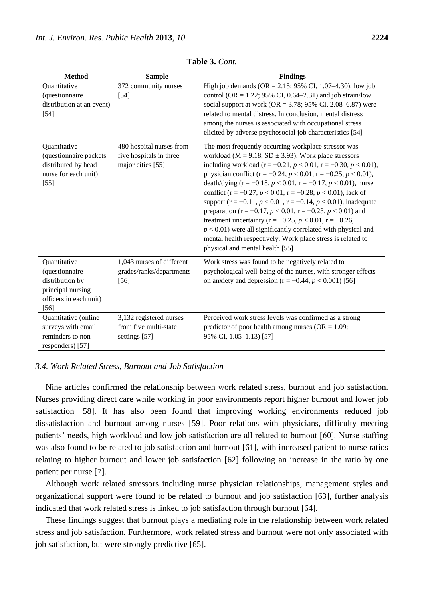| <b>Method</b>                                                                                            | <b>Sample</b>                                                            | <b>Findings</b>                                                                                                                                                                                                                                                                                                                                                                                                                                                                                                                                                                                                                                                                                                                                                                                                     |
|----------------------------------------------------------------------------------------------------------|--------------------------------------------------------------------------|---------------------------------------------------------------------------------------------------------------------------------------------------------------------------------------------------------------------------------------------------------------------------------------------------------------------------------------------------------------------------------------------------------------------------------------------------------------------------------------------------------------------------------------------------------------------------------------------------------------------------------------------------------------------------------------------------------------------------------------------------------------------------------------------------------------------|
| Quantitative<br>(questionnaire<br>distribution at an event)<br>$[54]$                                    | 372 community nurses<br>$[54]$                                           | High job demands (OR = 2.15; 95% CI, 1.07–4.30), low job<br>control (OR = 1.22; 95% CI, 0.64–2.31) and job strain/low<br>social support at work (OR = 3.78; 95% CI, 2.08–6.87) were<br>related to mental distress. In conclusion, mental distress<br>among the nurses is associated with occupational stress<br>elicited by adverse psychosocial job characteristics [54]                                                                                                                                                                                                                                                                                                                                                                                                                                           |
| Quantitative<br>(questionnaire packets<br>distributed by head<br>nurse for each unit)<br>$[55]$          | 480 hospital nurses from<br>five hospitals in three<br>major cities [55] | The most frequently occurring workplace stressor was<br>workload ( $M = 9.18$ , SD $\pm 3.93$ ). Work place stressors<br>including workload ( $r = -0.21$ , $p < 0.01$ , $r = -0.30$ , $p < 0.01$ ),<br>physician conflict ( $r = -0.24$ , $p < 0.01$ , $r = -0.25$ , $p < 0.01$ ),<br>death/dying $(r = -0.18, p < 0.01, r = -0.17, p < 0.01)$ , nurse<br>conflict (r = $-0.27$ , p < 0.01, r = $-0.28$ , p < 0.01), lack of<br>support (r = -0.11, $p < 0.01$ , r = -0.14, $p < 0.01$ ), inadequate<br>preparation (r = -0.17, $p < 0.01$ , r = -0.23, $p < 0.01$ ) and<br>treatment uncertainty ( $r = -0.25$ , $p < 0.01$ , $r = -0.26$ ,<br>$p < 0.01$ ) were all significantly correlated with physical and<br>mental health respectively. Work place stress is related to<br>physical and mental health [55] |
| Quantitative<br>(questionnaire<br>distribution by<br>principal nursing<br>officers in each unit)<br>[56] | 1,043 nurses of different<br>grades/ranks/departments<br>$[56]$          | Work stress was found to be negatively related to<br>psychological well-being of the nurses, with stronger effects<br>on anxiety and depression $(r = -0.44, p < 0.001)$ [56]                                                                                                                                                                                                                                                                                                                                                                                                                                                                                                                                                                                                                                       |
| Quantitative (online<br>surveys with email<br>reminders to non<br>responders) [57]                       | 3,132 registered nurses<br>from five multi-state<br>settings [57]        | Perceived work stress levels was confirmed as a strong<br>predictor of poor health among nurses ( $OR = 1.09$ ;<br>95% CI, 1.05-1.13) [57]                                                                                                                                                                                                                                                                                                                                                                                                                                                                                                                                                                                                                                                                          |

**Table 3.** *Cont.*

#### *3.4. Work Related Stress, Burnout and Job Satisfaction*

Nine articles confirmed the relationship between work related stress, burnout and job satisfaction. Nurses providing direct care while working in poor environments report higher burnout and lower job satisfaction [58]. It has also been found that improving working environments reduced job dissatisfaction and burnout among nurses [59]. Poor relations with physicians, difficulty meeting patients' needs, high workload and low job satisfaction are all related to burnout [60]. Nurse staffing was also found to be related to job satisfaction and burnout [61], with increased patient to nurse ratios relating to higher burnout and lower job satisfaction [62] following an increase in the ratio by one patient per nurse [7].

Although work related stressors including nurse physician relationships, management styles and organizational support were found to be related to burnout and job satisfaction [63], further analysis indicated that work related stress is linked to job satisfaction through burnout [64].

These findings suggest that burnout plays a mediating role in the relationship between work related stress and job satisfaction. Furthermore, work related stress and burnout were not only associated with job satisfaction, but were strongly predictive [65].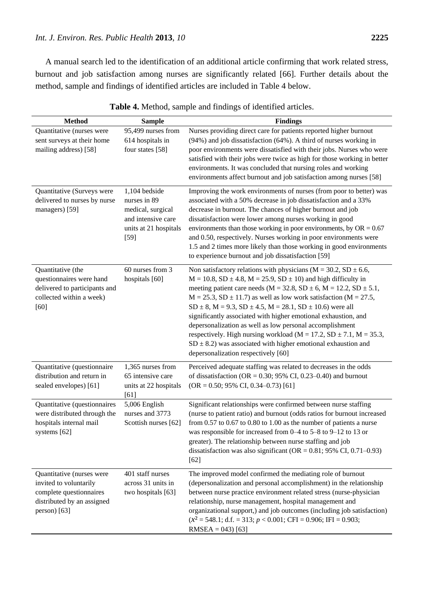A manual search led to the identification of an additional article confirming that work related stress, burnout and job satisfaction among nurses are significantly related [66]. Further details about the method, sample and findings of identified articles are included in Table 4 below.

| <b>Method</b>                                                                                                                  | <b>Sample</b>                                                                                                 | <b>Findings</b>                                                                                                                                                                                                                                                                                                                                                                                                                                                                                                                                                                                                                                                                                                           |
|--------------------------------------------------------------------------------------------------------------------------------|---------------------------------------------------------------------------------------------------------------|---------------------------------------------------------------------------------------------------------------------------------------------------------------------------------------------------------------------------------------------------------------------------------------------------------------------------------------------------------------------------------------------------------------------------------------------------------------------------------------------------------------------------------------------------------------------------------------------------------------------------------------------------------------------------------------------------------------------------|
| Quantitative (nurses were<br>sent surveys at their home<br>mailing address) [58]                                               | 95,499 nurses from<br>614 hospitals in<br>four states [58]                                                    | Nurses providing direct care for patients reported higher burnout<br>(94%) and job dissatisfaction (64%). A third of nurses working in<br>poor environments were dissatisfied with their jobs. Nurses who were<br>satisfied with their jobs were twice as high for those working in better<br>environments. It was concluded that nursing roles and working<br>environments affect burnout and job satisfaction among nurses [58]                                                                                                                                                                                                                                                                                         |
| Quantitative (Surveys were<br>delivered to nurses by nurse<br>managers) [59]                                                   | $1,104$ bedside<br>nurses in 89<br>medical, surgical<br>and intensive care<br>units at 21 hospitals<br>$[59]$ | Improving the work environments of nurses (from poor to better) was<br>associated with a 50% decrease in job dissatisfaction and a 33%<br>decrease in burnout. The chances of higher burnout and job<br>dissatisfaction were lower among nurses working in good<br>environments than those working in poor environments, by $OR = 0.67$<br>and 0.50, respectively. Nurses working in poor environments were<br>1.5 and 2 times more likely than those working in good environments<br>to experience burnout and job dissatisfaction [59]                                                                                                                                                                                  |
| Quantitative (the<br>questionnaires were hand<br>delivered to participants and<br>collected within a week)<br>[60]             | 60 nurses from 3<br>hospitals [60]                                                                            | Non satisfactory relations with physicians ( $M = 30.2$ , SD $\pm 6.6$ ,<br>$M = 10.8$ , SD $\pm 4.8$ , $M = 25.9$ , SD $\pm 10$ ) and high difficulty in<br>meeting patient care needs ( $M = 32.8$ , SD $\pm$ 6, M = 12.2, SD $\pm$ 5.1,<br>$M = 25.3$ , SD $\pm$ 11.7) as well as low work satisfaction (M = 27.5,<br>SD $\pm 8$ , M = 9.3, SD $\pm 4.5$ , M = 28.1, SD $\pm 10.6$ ) were all<br>significantly associated with higher emotional exhaustion, and<br>depersonalization as well as low personal accomplishment<br>respectively. High nursing workload ( $M = 17.2$ , SD $\pm 7.1$ , M = 35.3,<br>SD $\pm$ 8.2) was associated with higher emotional exhaustion and<br>depersonalization respectively [60] |
| Quantitative (questionnaire<br>distribution and return in<br>sealed envelopes) [61]                                            | 1,365 nurses from<br>65 intensive care<br>units at 22 hospitals<br>[61]                                       | Perceived adequate staffing was related to decreases in the odds<br>of dissatisfaction (OR = $0.30$ ; 95% CI, 0.23–0.40) and burnout<br>$(OR = 0.50; 95\% CI, 0.34–0.73)$ [61]                                                                                                                                                                                                                                                                                                                                                                                                                                                                                                                                            |
| Quantitative (questionnaires<br>were distributed through the<br>hospitals internal mail<br>systems [62]                        | 5,006 English<br>nurses and 3773<br>Scottish nurses [62]                                                      | Significant relationships were confirmed between nurse staffing<br>(nurse to patient ratio) and burnout (odds ratios for burnout increased<br>from $0.57$ to $0.67$ to $0.80$ to $1.00$ as the number of patients a nurse<br>was responsible for increased from $0-4$ to $5-8$ to $9-12$ to 13 or<br>greater). The relationship between nurse staffing and job<br>dissatisfaction was also significant (OR = $0.81$ ; 95% CI, 0.71–0.93)<br>$[62]$                                                                                                                                                                                                                                                                        |
| Quantitative (nurses were<br>invited to voluntarily<br>complete questionnaires<br>distributed by an assigned<br>$person)$ [63] | 401 staff nurses<br>across 31 units in<br>two hospitals [63]                                                  | The improved model confirmed the mediating role of burnout<br>(depersonalization and personal accomplishment) in the relationship<br>between nurse practice environment related stress (nurse-physician<br>relationship, nurse management, hospital management and<br>organizational support,) and job outcomes (including job satisfaction)<br>$(x^2 = 548.1; d.f. = 313; p < 0.001; CFI = 0.906; IFI = 0.903;$<br>$RMSEA = 043$ [63]                                                                                                                                                                                                                                                                                    |

**Table 4.** Method, sample and findings of identified articles.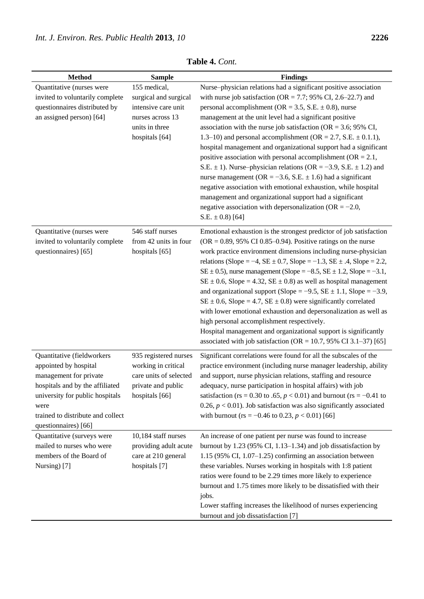| <b>Method</b>                                                                                                                                                                                                            | <b>Sample</b>                                                                                                        | <b>Findings</b>                                                                                                                                                                                                                                                                                                                                                                                                                                                                                                                                                                                                                                                                                                                                                                                                                                                                                                      |
|--------------------------------------------------------------------------------------------------------------------------------------------------------------------------------------------------------------------------|----------------------------------------------------------------------------------------------------------------------|----------------------------------------------------------------------------------------------------------------------------------------------------------------------------------------------------------------------------------------------------------------------------------------------------------------------------------------------------------------------------------------------------------------------------------------------------------------------------------------------------------------------------------------------------------------------------------------------------------------------------------------------------------------------------------------------------------------------------------------------------------------------------------------------------------------------------------------------------------------------------------------------------------------------|
| Quantitative (nurses were<br>invited to voluntarily complete<br>questionnaires distributed by<br>an assigned person) [64]                                                                                                | 155 medical,<br>surgical and surgical<br>intensive care unit<br>nurses across 13<br>units in three<br>hospitals [64] | Nurse-physician relations had a significant positive association<br>with nurse job satisfaction ( $OR = 7.7$ ; 95% CI, 2.6–22.7) and<br>personal accomplishment (OR = 3.5, S.E. $\pm$ 0.8), nurse<br>management at the unit level had a significant positive<br>association with the nurse job satisfaction ( $OR = 3.6$ ; 95% CI,<br>1.3–10) and personal accomplishment (OR = 2.7, S.E. $\pm$ 0.1.1),<br>hospital management and organizational support had a significant<br>positive association with personal accomplishment ( $OR = 2.1$ ,<br>S.E. $\pm$ 1). Nurse-physician relations (OR = -3.9, S.E. $\pm$ 1.2) and<br>nurse management (OR = $-3.6$ , S.E. $\pm 1.6$ ) had a significant<br>negative association with emotional exhaustion, while hospital<br>management and organizational support had a significant<br>negative association with depersonalization (OR = $-2.0$ ,<br>S.E. $\pm$ 0.8) [64] |
| Quantitative (nurses were<br>invited to voluntarily complete<br>questionnaires) [65]                                                                                                                                     | 546 staff nurses<br>from 42 units in four<br>hospitals [65]                                                          | Emotional exhaustion is the strongest predictor of job satisfaction<br>$OR = 0.89$ , 95% CI 0.85–0.94). Positive ratings on the nurse<br>work practice environment dimensions including nurse-physician<br>relations (Slope = -4, SE $\pm$ 0.7, Slope = -1.3, SE $\pm$ .4, Slope = 2.2,<br>SE $\pm$ 0.5), nurse management (Slope = -8.5, SE $\pm$ 1.2, Slope = -3.1,<br>SE $\pm$ 0.6, Slope = 4.32, SE $\pm$ 0.8) as well as hospital management<br>and organizational support (Slope = $-9.5$ , SE $\pm 1.1$ , Slope = $-3.9$ ,<br>SE $\pm$ 0.6, Slope = 4.7, SE $\pm$ 0.8) were significantly correlated<br>with lower emotional exhaustion and depersonalization as well as<br>high personal accomplishment respectively.<br>Hospital management and organizational support is significantly<br>associated with job satisfaction (OR = 10.7, 95% CI 3.1–37) [65]                                                 |
| Quantitative (fieldworkers<br>appointed by hospital<br>management for private<br>hospitals and by the affiliated<br>university for public hospitals<br>were<br>trained to distribute and collect<br>questionnaires) [66] | 935 registered nurses<br>working in critical<br>care units of selected<br>private and public<br>hospitals [66]       | Significant correlations were found for all the subscales of the<br>practice environment (including nurse manager leadership, ability<br>and support, nurse physician relations, staffing and resource<br>adequacy, nurse participation in hospital affairs) with job<br>satisfaction (rs = 0.30 to .65, $p < 0.01$ ) and burnout (rs = -0.41 to<br>0.26, $p < 0.01$ ). Job satisfaction was also significantly associated<br>with burnout (rs = -0.46 to 0.23, $p < 0.01$ ) [66]                                                                                                                                                                                                                                                                                                                                                                                                                                    |
| Quantitative (surveys were<br>mailed to nurses who were<br>members of the Board of<br>Nursing) [7]                                                                                                                       | 10,184 staff nurses<br>providing adult acute<br>care at 210 general<br>hospitals [7]                                 | An increase of one patient per nurse was found to increase<br>burnout by 1.23 (95% CI, 1.13–1.34) and job dissatisfaction by<br>$1.15$ (95% CI, 1.07–1.25) confirming an association between<br>these variables. Nurses working in hospitals with 1:8 patient<br>ratios were found to be 2.29 times more likely to experience<br>burnout and 1.75 times more likely to be dissatisfied with their<br>jobs.<br>Lower staffing increases the likelihood of nurses experiencing<br>burnout and job dissatisfaction [7]                                                                                                                                                                                                                                                                                                                                                                                                  |

**Table 4.** *Cont.*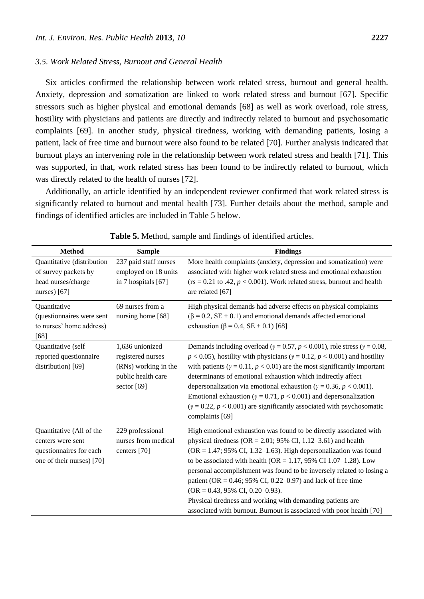## *3.5. Work Related Stress, Burnout and General Health*

Six articles confirmed the relationship between work related stress, burnout and general health. Anxiety, depression and somatization are linked to work related stress and burnout [67]. Specific stressors such as higher physical and emotional demands [68] as well as work overload, role stress, hostility with physicians and patients are directly and indirectly related to burnout and psychosomatic complaints [69]. In another study, physical tiredness, working with demanding patients, losing a patient, lack of free time and burnout were also found to be related [70]. Further analysis indicated that burnout plays an intervening role in the relationship between work related stress and health [71]. This was supported, in that, work related stress has been found to be indirectly related to burnout, which was directly related to the health of nurses [72].

Additionally, an article identified by an independent reviewer confirmed that work related stress is significantly related to burnout and mental health [73]. Further details about the method, sample and findings of identified articles are included in Table 5 below.

| <b>Method</b>                                                                                         | <b>Sample</b>                                                                                       | <b>Findings</b>                                                                                                                                                                                                                                                                                                                                                                                                                                                                                                                                                                                                              |
|-------------------------------------------------------------------------------------------------------|-----------------------------------------------------------------------------------------------------|------------------------------------------------------------------------------------------------------------------------------------------------------------------------------------------------------------------------------------------------------------------------------------------------------------------------------------------------------------------------------------------------------------------------------------------------------------------------------------------------------------------------------------------------------------------------------------------------------------------------------|
| Quantitative (distribution<br>of survey packets by<br>head nurses/charge<br>nurses $[67]$             | 237 paid staff nurses<br>employed on 18 units<br>in 7 hospitals [67]                                | More health complaints (anxiety, depression and somatization) were<br>associated with higher work related stress and emotional exhaustion<br>$(rs = 0.21$ to .42, $p < 0.001$ ). Work related stress, burnout and health<br>are related [67]                                                                                                                                                                                                                                                                                                                                                                                 |
| Quantitative<br>(questionnaires were sent<br>to nurses' home address)<br>[68]                         | 69 nurses from a<br>nursing home [68]                                                               | High physical demands had adverse effects on physical complaints<br>$(\beta = 0.2, SE \pm 0.1)$ and emotional demands affected emotional<br>exhaustion ( $\beta$ = 0.4, SE $\pm$ 0.1) [68]                                                                                                                                                                                                                                                                                                                                                                                                                                   |
| Quantitative (self<br>reported questionnaire<br>distribution) [69]                                    | 1,636 unionized<br>registered nurses<br>(RNs) working in the<br>public health care<br>sector $[69]$ | Demands including overload ( $\gamma = 0.57$ , $p < 0.001$ ), role stress ( $\gamma = 0.08$ ,<br>$p < 0.05$ ), hostility with physicians ( $\gamma = 0.12$ , $p < 0.001$ ) and hostility<br>with patients ( $y = 0.11$ , $p < 0.01$ ) are the most significantly important<br>determinants of emotional exhaustion which indirectly affect<br>depersonalization via emotional exhaustion ( $\gamma = 0.36$ , $p < 0.001$ ).<br>Emotional exhaustion ( $y = 0.71$ , $p < 0.001$ ) and depersonalization<br>$(y = 0.22, p < 0.001)$ are significantly associated with psychosomatic<br>complaints [69]                         |
| Quantitative (All of the<br>centers were sent<br>questionnaires for each<br>one of their nurses) [70] | 229 professional<br>nurses from medical<br>centers [70]                                             | High emotional exhaustion was found to be directly associated with<br>physical tiredness ( $OR = 2.01$ ; 95% CI, 1.12–3.61) and health<br>$(OR = 1.47; 95\% \text{ CI}, 1.32-1.63)$ . High depersonalization was found<br>to be associated with health (OR = $1.17$ , 95% CI 1.07–1.28). Low<br>personal accomplishment was found to be inversely related to losing a<br>patient (OR = $0.46$ ; 95% CI, 0.22–0.97) and lack of free time<br>$(OR = 0.43, 95\% \text{ CI}, 0.20-0.93).$<br>Physical tiredness and working with demanding patients are<br>associated with burnout. Burnout is associated with poor health [70] |

**Table 5.** Method, sample and findings of identified articles.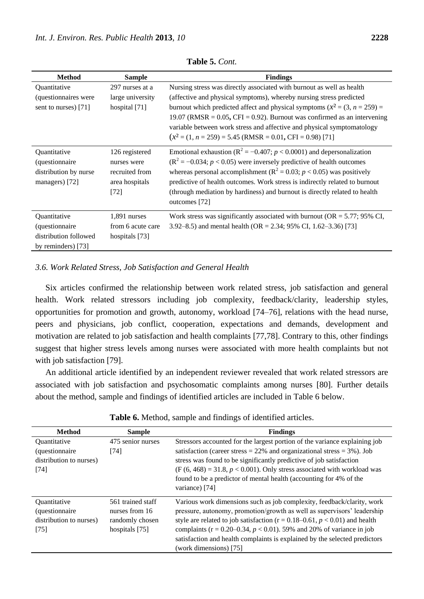| <b>Method</b>                                                                         | <b>Sample</b>                                                             | <b>Findings</b>                                                                                                                                                                                                                                                                                                                                                                                                                                       |
|---------------------------------------------------------------------------------------|---------------------------------------------------------------------------|-------------------------------------------------------------------------------------------------------------------------------------------------------------------------------------------------------------------------------------------------------------------------------------------------------------------------------------------------------------------------------------------------------------------------------------------------------|
| Quantitative<br>(questionnaires were<br>sent to nurses) [71]                          | 297 nurses at a<br>large university<br>hospital $[71]$                    | Nursing stress was directly associated with burnout as well as health<br>(affective and physical symptoms), whereby nursing stress predicted<br>burnout which predicted affect and physical symptoms ( $x^2 = (3, n = 259) =$<br>19.07 (RMSR = $0.05$ , CFI = 0.92). Burnout was confirmed as an intervening<br>variable between work stress and affective and physical symptomatology<br>$(x^2 = (1, n = 259) = 5.45$ (RMSR = 0.01, CFI = 0.98) [71] |
| Quantitative<br>(questionnaire<br>distribution by nurse<br>managers) [72]             | 126 registered<br>nurses were<br>recruited from<br>area hospitals<br>[72] | Emotional exhaustion ( $R^2 = -0.407$ ; $p < 0.0001$ ) and depersonalization<br>$(R^2 = -0.034; p < 0.05)$ were inversely predictive of health outcomes<br>whereas personal accomplishment ( $R^2 = 0.03$ ; $p < 0.05$ ) was positively<br>predictive of health outcomes. Work stress is indirectly related to burnout<br>(through mediation by hardiness) and burnout is directly related to health<br>outcomes [72]                                 |
| Quantitative<br><i>(questionnaire)</i><br>distribution followed<br>by reminders) [73] | 1,891 nurses<br>from 6 acute care<br>hospitals [73]                       | Work stress was significantly associated with burnout ( $OR = 5.77$ ; 95% CI,<br>3.92–8.5) and mental health (OR = 2.34; 95% CI, 1.62–3.36) [73]                                                                                                                                                                                                                                                                                                      |

**Table 5.** *Cont.*

#### *3.6. Work Related Stress, Job Satisfaction and General Health*

Six articles confirmed the relationship between work related stress, job satisfaction and general health. Work related stressors including job complexity, feedback/clarity, leadership styles, opportunities for promotion and growth, autonomy, workload [74–76], relations with the head nurse, peers and physicians, job conflict, cooperation, expectations and demands, development and motivation are related to job satisfaction and health complaints [77,78]. Contrary to this, other findings suggest that higher stress levels among nurses were associated with more health complaints but not with job satisfaction [79].

An additional article identified by an independent reviewer revealed that work related stressors are associated with job satisfaction and psychosomatic complaints among nurses [80]. Further details about the method, sample and findings of identified articles are included in Table 6 below.

| <b>Method</b>                                                                                    | <b>Sample</b>                                                            | <b>Findings</b>                                                                                                                                                                                                                                                                                                                                                                                                                 |
|--------------------------------------------------------------------------------------------------|--------------------------------------------------------------------------|---------------------------------------------------------------------------------------------------------------------------------------------------------------------------------------------------------------------------------------------------------------------------------------------------------------------------------------------------------------------------------------------------------------------------------|
| <i><u><b>Ouantitative</b></u></i><br><i>(questionnaire)</i><br>distribution to nurses)<br>$[74]$ | 475 senior nurses<br>[74]                                                | Stressors accounted for the largest portion of the variance explaining job<br>satisfaction (career stress $= 22\%$ and organizational stress $= 3\%$ ). Job<br>stress was found to be significantly predictive of job satisfaction<br>$(F (6, 468) = 31.8, p < 0.001)$ . Only stress associated with workload was<br>found to be a predictor of mental health (accounting for 4% of the<br>variance) [74]                       |
| <i><b>Ouantitative</b></i><br><i>(questionnaire)</i><br>distribution to nurses)<br>$[75]$        | 561 trained staff<br>nurses from 16<br>randomly chosen<br>hospitals [75] | Various work dimensions such as job complexity, feedback/clarity, work<br>pressure, autonomy, promotion/growth as well as supervisors' leadership<br>style are related to job satisfaction ( $r = 0.18 - 0.61$ , $p < 0.01$ ) and health<br>complaints ( $r = 0.20-0.34$ , $p < 0.01$ ). 59% and 20% of variance in job<br>satisfaction and health complaints is explained by the selected predictors<br>(work dimensions) [75] |

**Table 6.** Method, sample and findings of identified articles.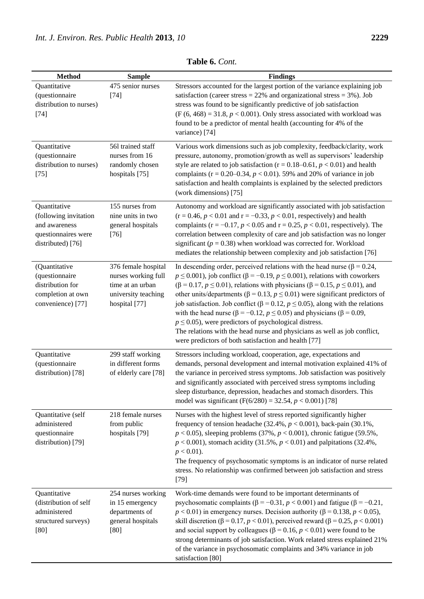| <b>Method</b>                                                                                      | <b>Sample</b>                                                                                          | <b>Findings</b>                                                                                                                                                                                                                                                                                                                                                                                                                                                                                                                                                                                                                                                                                                                                              |
|----------------------------------------------------------------------------------------------------|--------------------------------------------------------------------------------------------------------|--------------------------------------------------------------------------------------------------------------------------------------------------------------------------------------------------------------------------------------------------------------------------------------------------------------------------------------------------------------------------------------------------------------------------------------------------------------------------------------------------------------------------------------------------------------------------------------------------------------------------------------------------------------------------------------------------------------------------------------------------------------|
| Quantitative<br>(questionnaire<br>distribution to nurses)<br>$[74]$                                | 475 senior nurses<br>$[74]$                                                                            | Stressors accounted for the largest portion of the variance explaining job<br>satisfaction (career stress = $22\%$ and organizational stress = $3\%$ ). Job<br>stress was found to be significantly predictive of job satisfaction<br>$(F (6, 468) = 31.8, p < 0.001)$ . Only stress associated with workload was<br>found to be a predictor of mental health (accounting for 4% of the<br>variance) [74]                                                                                                                                                                                                                                                                                                                                                    |
| Quantitative<br>(questionnaire<br>distribution to nurses)<br>$[75]$                                | 561 trained staff<br>nurses from 16<br>randomly chosen<br>hospitals [75]                               | Various work dimensions such as job complexity, feedback/clarity, work<br>pressure, autonomy, promotion/growth as well as supervisors' leadership<br>style are related to job satisfaction ( $r = 0.18 - 0.61$ , $p < 0.01$ ) and health<br>complaints ( $r = 0.20-0.34$ , $p < 0.01$ ). 59% and 20% of variance in job<br>satisfaction and health complaints is explained by the selected predictors<br>(work dimensions) [75]                                                                                                                                                                                                                                                                                                                              |
| Quantitative<br>(following invitation<br>and awareness<br>questionnaires were<br>distributed) [76] | 155 nurses from<br>nine units in two<br>general hospitals<br>$[76]$                                    | Autonomy and workload are significantly associated with job satisfaction<br>$(r = 0.46, p < 0.01$ and $r = -0.33, p < 0.01$ , respectively) and health<br>complaints ( $r = -0.17$ , $p < 0.05$ and $r = 0.25$ , $p < 0.01$ , respectively). The<br>correlation between complexity of care and job satisfaction was no longer<br>significant ( $p = 0.38$ ) when workload was corrected for. Workload<br>mediates the relationship between complexity and job satisfaction [76]                                                                                                                                                                                                                                                                              |
| (Quantitative<br>(questionnaire<br>distribution for<br>completion at own<br>convenience) [77]      | 376 female hospital<br>nurses working full<br>time at an urban<br>university teaching<br>hospital [77] | In descending order, perceived relations with the head nurse ( $\beta$ = 0.24,<br>$p \le 0.001$ ), job conflict ( $\beta = -0.19$ , $p \le 0.001$ ), relations with coworkers<br>$(\beta = 0.17, p \le 0.01)$ , relations with physicians ( $\beta = 0.15, p \le 0.01$ ), and<br>other units/departments ( $\beta$ = 0.13, $p \le 0.01$ ) were significant predictors of<br>job satisfaction. Job conflict (β = 0.12, $p \le 0.05$ ), along with the relations<br>with the head nurse ( $\beta$ = -0.12, $p \le 0.05$ ) and physicians ( $\beta$ = 0.09,<br>$p \leq 0.05$ ), were predictors of psychological distress.<br>The relations with the head nurse and physicians as well as job conflict,<br>were predictors of both satisfaction and health [77] |
| Quantitative<br>(questionnaire<br>distribution) [78]                                               | 299 staff working<br>in different forms<br>of elderly care [78]                                        | Stressors including workload, cooperation, age, expectations and<br>demands, personal development and internal motivation explained 41% of<br>the variance in perceived stress symptoms. Job satisfaction was positively<br>and significantly associated with perceived stress symptoms including<br>sleep disturbance, depression, headaches and stomach disorders. This<br>model was significant (F(6/280) = 32.54, $p < 0.001$ ) [78]                                                                                                                                                                                                                                                                                                                     |
| Quantitative (self<br>administered<br>questionnaire<br>distribution) [79]                          | 218 female nurses<br>from public<br>hospitals [79]                                                     | Nurses with the highest level of stress reported significantly higher<br>frequency of tension headache (32.4%, $p < 0.001$ ), back-pain (30.1%,<br>$p < 0.05$ ), sleeping problems (37%, $p < 0.001$ ), chronic fatigue (59.5%,<br>$p < 0.001$ ), stomach acidity (31.5%, $p < 0.01$ ) and palpitations (32.4%,<br>$p < 0.01$ ).<br>The frequency of psychosomatic symptoms is an indicator of nurse related<br>stress. No relationship was confirmed between job satisfaction and stress<br>$[79]$                                                                                                                                                                                                                                                          |
| Quantitative<br>(distribution of self<br>administered<br>structured surveys)<br>$[80]$             | 254 nurses working<br>in 15 emergency<br>departments of<br>general hospitals<br>[80]                   | Work-time demands were found to be important determinants of<br>psychosomatic complaints ( $\beta = -0.31$ , $p < 0.001$ ) and fatigue ( $\beta = -0.21$ ,<br>$p < 0.01$ ) in emergency nurses. Decision authority ( $\beta = 0.138$ , $p < 0.05$ ),<br>skill discretion ( $\beta$ = 0.17, $p$ < 0.01), perceived reward ( $\beta$ = 0.25, $p$ < 0.001)<br>and social support by colleagues ( $\beta$ = 0.16, $p$ < 0.01) were found to be<br>strong determinants of job satisfaction. Work related stress explained 21%<br>of the variance in psychosomatic complaints and 34% variance in job<br>satisfaction [80]                                                                                                                                         |

**Table 6.** *Cont.*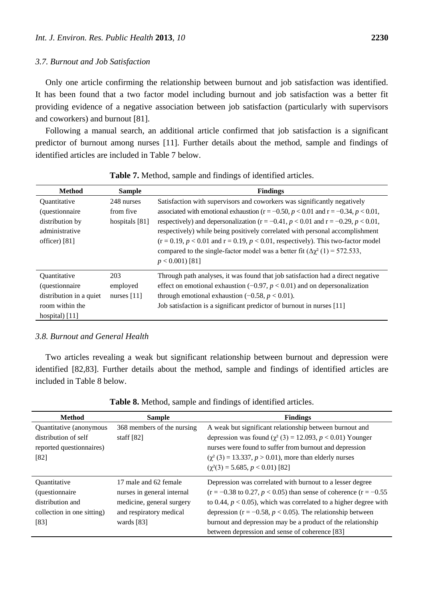#### *3.7. Burnout and Job Satisfaction*

Only one article confirming the relationship between burnout and job satisfaction was identified. It has been found that a two factor model including burnout and job satisfaction was a better fit providing evidence of a negative association between job satisfaction (particularly with supervisors and coworkers) and burnout [81].

Following a manual search, an additional article confirmed that job satisfaction is a significant predictor of burnout among nurses [11]. Further details about the method, sample and findings of identified articles are included in Table 7 below.

| <b>Method</b>           | <b>Sample</b>  | <b>Findings</b>                                                                                |
|-------------------------|----------------|------------------------------------------------------------------------------------------------|
| Quantitative            | 248 nurses     | Satisfaction with supervisors and coworkers was significantly negatively                       |
| (questionnaire          | from five      | associated with emotional exhaustion ( $r = -0.50$ , $p < 0.01$ and $r = -0.34$ , $p < 0.01$ , |
| distribution by         | hospitals [81] | respectively) and depersonalization ( $r = -0.41$ , $p < 0.01$ and $r = -0.29$ , $p < 0.01$ ,  |
| administrative          |                | respectively) while being positively correlated with personal accomplishment                   |
| officer $[81]$          |                | $(r = 0.19, p < 0.01$ and $r = 0.19, p < 0.01$ , respectively). This two-factor model          |
|                         |                | compared to the single-factor model was a better fit $(\Delta \chi^2(1) = 572.533)$ ,          |
|                         |                | $p < 0.001$ ) [81]                                                                             |
| Quantitative            | 203            | Through path analyses, it was found that job satisfaction had a direct negative                |
| (questionnaire          | employed       | effect on emotional exhaustion $(-0.97, p < 0.01)$ and on depersonalization                    |
| distribution in a quiet | nurses $[11]$  | through emotional exhaustion $(-0.58, p < 0.01)$ .                                             |
| room within the         |                | Job satisfaction is a significant predictor of burnout in nurses [11]                          |
| hospital $[11]$         |                |                                                                                                |

**Table 7.** Method, sample and findings of identified articles.

#### *3.8. Burnout and General Health*

Two articles revealing a weak but significant relationship between burnout and depression were identified [82,83]. Further details about the method, sample and findings of identified articles are included in Table 8 below.

| <b>Method</b>              | <b>Sample</b>              | <b>Findings</b>                                                               |
|----------------------------|----------------------------|-------------------------------------------------------------------------------|
| Quantitative (anonymous    | 368 members of the nursing | A weak but significant relationship between burnout and                       |
| distribution of self       | staff $[82]$               | depression was found $(\chi^2(3) = 12.093, p < 0.01)$ Younger                 |
| reported questionnaires)   |                            | nurses were found to suffer from burnout and depression                       |
| [82]                       |                            | $(\chi^2(3) = 13.337, p > 0.01)$ , more than elderly nurses                   |
|                            |                            | $(\chi^2(3) = 5.685, p < 0.01)$ [82]                                          |
| <i><b>Ouantitative</b></i> | 17 male and 62 female      | Depression was correlated with burnout to a lesser degree                     |
| (questionnaire             | nurses in general internal | $(r = -0.38 \text{ to } 0.27, p < 0.05)$ than sense of coherence $(r = -0.55$ |
| distribution and           | medicine, general surgery  | to 0.44, $p < 0.05$ ), which was correlated to a higher degree with           |
| collection in one sitting) | and respiratory medical    | depression ( $r = -0.58$ , $p < 0.05$ ). The relationship between             |
| [83]                       | wards $[83]$               | burnout and depression may be a product of the relationship                   |
|                            |                            | between depression and sense of coherence [83]                                |

**Table 8.** Method, sample and findings of identified articles.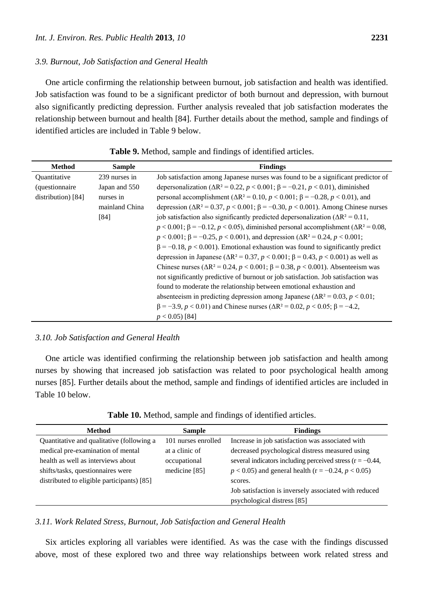#### *3.9. Burnout, Job Satisfaction and General Health*

One article confirming the relationship between burnout, job satisfaction and health was identified. Job satisfaction was found to be a significant predictor of both burnout and depression, with burnout also significantly predicting depression. Further analysis revealed that job satisfaction moderates the relationship between burnout and health [84]. Further details about the method, sample and findings of identified articles are included in Table 9 below.

| <b>Method</b>          | <b>Sample</b>  | <b>Findings</b>                                                                                          |
|------------------------|----------------|----------------------------------------------------------------------------------------------------------|
| Quantitative           | 239 nurses in  | Job satisfaction among Japanese nurses was found to be a significant predictor of                        |
| <i>(questionnaire)</i> | Japan and 550  | depersonalization ( $\Delta R^2 = 0.22$ , $p < 0.001$ ; $\beta = -0.21$ , $p < 0.01$ ), diminished       |
| distribution) [84]     | nurses in      | personal accomplishment (ΔR <sup>2</sup> = 0.10, <i>p</i> < 0.001; β = -0.28, <i>p</i> < 0.01), and      |
|                        | mainland China | depression ( $\Delta R^2 = 0.37$ , $p < 0.001$ ; $\beta = -0.30$ , $p < 0.001$ ). Among Chinese nurses   |
|                        | [84]           | job satisfaction also significantly predicted depersonalization ( $\Delta R^2 = 0.11$ ,                  |
|                        |                | $p < 0.001$ ; $\beta = -0.12$ , $p < 0.05$ ), diminished personal accomplishment ( $\Delta R^2 = 0.08$ , |
|                        |                | $p < 0.001$ ; $\beta = -0.25$ , $p < 0.001$ ), and depression ( $\Delta R^2 = 0.24$ , $p < 0.001$ ;      |
|                        |                | $\beta = -0.18$ , $p < 0.001$ ). Emotional exhaustion was found to significantly predict                 |
|                        |                | depression in Japanese ( $\Delta R^2 = 0.37$ , $p < 0.001$ ; $\beta = 0.43$ , $p < 0.001$ ) as well as   |
|                        |                | Chinese nurses (ΔR <sup>2</sup> = 0.24, <i>p</i> < 0.001; β = 0.38, <i>p</i> < 0.001). Absenteeism was   |
|                        |                | not significantly predictive of burnout or job satisfaction. Job satisfaction was                        |
|                        |                | found to moderate the relationship between emotional exhaustion and                                      |
|                        |                | absenteeism in predicting depression among Japanese ( $\Delta R^2 = 0.03$ , $p < 0.01$ ;                 |
|                        |                | $\beta = -3.9$ , $p < 0.01$ ) and Chinese nurses ( $\Delta R^2 = 0.02$ , $p < 0.05$ ; $\beta = -4.2$ ,   |
|                        |                | $p < 0.05$ ) [84]                                                                                        |

#### **Table 9.** Method, sample and findings of identified articles.

## *3.10. Job Satisfaction and General Health*

One article was identified confirming the relationship between job satisfaction and health among nurses by showing that increased job satisfaction was related to poor psychological health among nurses [85]. Further details about the method, sample and findings of identified articles are included in Table 10 below.

**Table 10.** Method, sample and findings of identified articles.

| <b>Method</b>                              | <b>Sample</b>       | <b>Findings</b>                                                                      |
|--------------------------------------------|---------------------|--------------------------------------------------------------------------------------|
| Quantitative and qualitative (following a  | 101 nurses enrolled | Increase in job satisfaction was associated with                                     |
| medical pre-examination of mental          | at a clinic of      | decreased psychological distress measured using                                      |
| health as well as interviews about         | occupational        | several indicators including perceived stress ( $r = -0.44$ ,                        |
| shifts/tasks, questionnaires were          | medicine [85]       | $p < 0.05$ ) and general health (r = -0.24, $p < 0.05$ )                             |
| distributed to eligible participants) [85] |                     | scores.                                                                              |
|                                            |                     | Job satisfaction is inversely associated with reduced<br>psychological distress [85] |

## *3.11. Work Related Stress, Burnout, Job Satisfaction and General Health*

Six articles exploring all variables were identified. As was the case with the findings discussed above, most of these explored two and three way relationships between work related stress and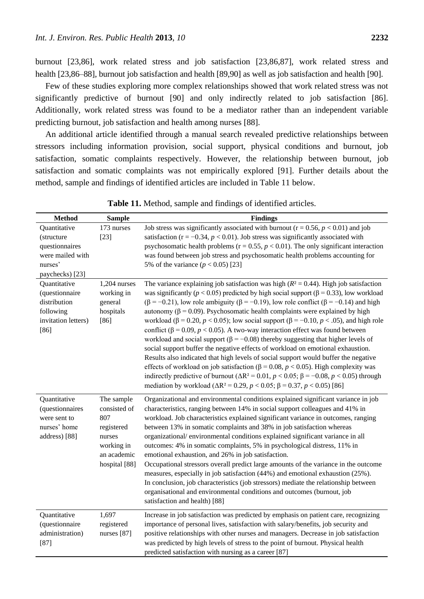burnout [23,86], work related stress and job satisfaction [23,86,87], work related stress and health [23,86–88], burnout job satisfaction and health [89,90] as well as job satisfaction and health [90].

Few of these studies exploring more complex relationships showed that work related stress was not significantly predictive of burnout [90] and only indirectly related to job satisfaction [86]. Additionally, work related stress was found to be a mediator rather than an independent variable predicting burnout, job satisfaction and health among nurses [88].

An additional article identified through a manual search revealed predictive relationships between stressors including information provision, social support, physical conditions and burnout, job satisfaction, somatic complaints respectively. However, the relationship between burnout, job satisfaction and somatic complaints was not empirically explored [91]. Further details about the method, sample and findings of identified articles are included in Table 11 below.

| <b>Method</b>                                                                                  | <b>Sample</b>                                                                                                      | <b>Findings</b>                                                                                                                                                                                                                                                                                                                                                                                                                                                                                                                                                                                                                                                                                                                                                                                                                                                                                                                                                                                                                                                                                                                                                                      |
|------------------------------------------------------------------------------------------------|--------------------------------------------------------------------------------------------------------------------|--------------------------------------------------------------------------------------------------------------------------------------------------------------------------------------------------------------------------------------------------------------------------------------------------------------------------------------------------------------------------------------------------------------------------------------------------------------------------------------------------------------------------------------------------------------------------------------------------------------------------------------------------------------------------------------------------------------------------------------------------------------------------------------------------------------------------------------------------------------------------------------------------------------------------------------------------------------------------------------------------------------------------------------------------------------------------------------------------------------------------------------------------------------------------------------|
| Quantitative<br>(structure<br>questionnaires<br>were mailed with<br>nurses'<br>paychecks) [23] | 173 nurses<br>$[23]$                                                                                               | Job stress was significantly associated with burnout ( $r = 0.56$ , $p < 0.01$ ) and job<br>satisfaction ( $r = -0.34$ , $p < 0.01$ ). Job stress was significantly associated with<br>psychosomatic health problems ( $r = 0.55$ , $p < 0.01$ ). The only significant interaction<br>was found between job stress and psychosomatic health problems accounting for<br>5% of the variance $(p < 0.05)$ [23]                                                                                                                                                                                                                                                                                                                                                                                                                                                                                                                                                                                                                                                                                                                                                                          |
| Quantitative<br>(questionnaire<br>distribution<br>following<br>invitation letters)<br>$[86]$   | $1,204$ nurses<br>working in<br>general<br>hospitals<br>$[86]$                                                     | The variance explaining job satisfaction was high ( $R^2$ = 0.44). High job satisfaction<br>was significantly ( $p < 0.05$ ) predicted by high social support ( $\beta = 0.33$ ), low workload<br>$(\beta = -0.21)$ , low role ambiguity ( $\beta = -0.19$ ), low role conflict ( $\beta = -0.14$ ) and high<br>autonomy (β = 0.09). Psychosomatic health complaints were explained by high<br>workload ( $\beta$ = 0.20, $p$ < 0.05); low social support ( $\beta$ = -0.10, $p$ < .05), and high role<br>conflict ( $\beta$ = 0.09, $p$ < 0.05). A two-way interaction effect was found between<br>workload and social support ( $\beta$ = -0.08) thereby suggesting that higher levels of<br>social support buffer the negative effects of workload on emotional exhaustion.<br>Results also indicated that high levels of social support would buffer the negative<br>effects of workload on job satisfaction ( $\beta$ = 0.08, $p$ < 0.05). High complexity was<br>indirectly predictive of burnout ( $\Delta R^2 = 0.01$ , $p < 0.05$ ; $\beta = -0.08$ , $p < 0.05$ ) through<br>mediation by workload ( $\Delta R^2 = 0.29$ , $p < 0.05$ ; $\beta = 0.37$ , $p < 0.05$ ) [86] |
| Quantitative<br>(questionnaires<br>were sent to<br>nurses' home<br>address) [88]               | The sample<br>consisted of<br>807<br>registered<br>nurses<br>working in<br>an academic<br>hospital <sup>[88]</sup> | Organizational and environmental conditions explained significant variance in job<br>characteristics, ranging between 14% in social support colleagues and 41% in<br>workload. Job characteristics explained significant variance in outcomes, ranging<br>between 13% in somatic complaints and 38% in job satisfaction whereas<br>organizational/environmental conditions explained significant variance in all<br>outcomes: 4% in somatic complaints, 5% in psychological distress, 11% in<br>emotional exhaustion, and 26% in job satisfaction.<br>Occupational stressors overall predict large amounts of the variance in the outcome<br>measures, especially in job satisfaction (44%) and emotional exhaustion (25%).<br>In conclusion, job characteristics (job stressors) mediate the relationship between<br>organisational and environmental conditions and outcomes (burnout, job<br>satisfaction and health) [88]                                                                                                                                                                                                                                                        |
| Quantitative<br>(questionnaire<br>administration)<br>$[87]$                                    | 1,697<br>registered<br>nurses [87]                                                                                 | Increase in job satisfaction was predicted by emphasis on patient care, recognizing<br>importance of personal lives, satisfaction with salary/benefits, job security and<br>positive relationships with other nurses and managers. Decrease in job satisfaction<br>was predicted by high levels of stress to the point of burnout. Physical health<br>predicted satisfaction with nursing as a career [87]                                                                                                                                                                                                                                                                                                                                                                                                                                                                                                                                                                                                                                                                                                                                                                           |

**Table 11.** Method, sample and findings of identified articles.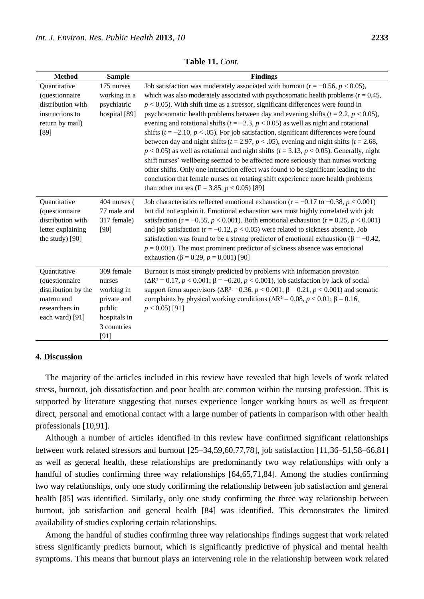| <b>Method</b>                                                                                            | <b>Sample</b>                                                                                      | <b>Findings</b>                                                                                                                                                                                                                                                                                                                                                                                                                                                                                                                                                                                                                                                                                                                                                                                                                                                                                                                                                                                                                                                                        |
|----------------------------------------------------------------------------------------------------------|----------------------------------------------------------------------------------------------------|----------------------------------------------------------------------------------------------------------------------------------------------------------------------------------------------------------------------------------------------------------------------------------------------------------------------------------------------------------------------------------------------------------------------------------------------------------------------------------------------------------------------------------------------------------------------------------------------------------------------------------------------------------------------------------------------------------------------------------------------------------------------------------------------------------------------------------------------------------------------------------------------------------------------------------------------------------------------------------------------------------------------------------------------------------------------------------------|
| Quantitative<br>(questionnaire<br>distribution with<br>instructions to<br>return by mail)<br>[89]        | 175 nurses<br>working in a<br>psychiatric<br>hospital [89]                                         | Job satisfaction was moderately associated with burnout ( $r = -0.56$ , $p < 0.05$ ),<br>which was also moderately associated with psychosomatic health problems $(r = 0.45,$<br>$p < 0.05$ ). With shift time as a stressor, significant differences were found in<br>psychosomatic health problems between day and evening shifts ( $t = 2.2$ , $p < 0.05$ ),<br>evening and rotational shifts ( $t = -2.3$ , $p < 0.05$ ) as well as night and rotational<br>shifts ( $t = -2.10$ , $p < .05$ ). For job satisfaction, significant differences were found<br>between day and night shifts ( $t = 2.97$ , $p < .05$ ), evening and night shifts ( $t = 2.68$ ,<br>$p < 0.05$ ) as well as rotational and night shifts ( $t = 3.13$ , $p < 0.05$ ). Generally, night<br>shift nurses' wellbeing seemed to be affected more seriously than nurses working<br>other shifts. Only one interaction effect was found to be significant leading to the<br>conclusion that female nurses on rotating shift experience more health problems<br>than other nurses (F = 3.85, $p < 0.05$ ) [89] |
| Quantitative<br>(questionnaire<br>distribution with<br>letter explaining<br>the study) [90]              | 404 nurses (<br>77 male and<br>317 female)<br>[90]                                                 | Job characteristics reflected emotional exhaustion ( $r = -0.17$ to $-0.38$ , $p < 0.001$ )<br>but did not explain it. Emotional exhaustion was most highly correlated with job<br>satisfaction ( $r = -0.55$ , $p < 0.001$ ). Both emotional exhaustion ( $r = 0.25$ , $p < 0.001$ )<br>and job satisfaction ( $r = -0.12$ , $p < 0.05$ ) were related to sickness absence. Job<br>satisfaction was found to be a strong predictor of emotional exhaustion ( $\beta$ = -0.42,<br>$p = 0.001$ ). The most prominent predictor of sickness absence was emotional<br>exhaustion ( $\beta$ = 0.29, $p$ = 0.001) [90]                                                                                                                                                                                                                                                                                                                                                                                                                                                                      |
| Quantitative<br>(questionnaire<br>distribution by the<br>matron and<br>researchers in<br>each ward) [91] | 309 female<br>nurses<br>working in<br>private and<br>public<br>hospitals in<br>3 countries<br>[91] | Burnout is most strongly predicted by problems with information provision<br>$(\Delta R^2 = 0.17, p < 0.001; \beta = -0.20, p < 0.001)$ , job satisfaction by lack of social<br>support form supervisors ( $\Delta R^2 = 0.36$ , $p < 0.001$ ; $\beta = 0.21$ , $p < 0.001$ ) and somatic<br>complaints by physical working conditions ( $\Delta R^2 = 0.08$ , $p < 0.01$ ; $\beta = 0.16$ ,<br>$p < 0.05$ ) [91]                                                                                                                                                                                                                                                                                                                                                                                                                                                                                                                                                                                                                                                                      |

**Table 11.** *Cont.*

# **4. Discussion**

The majority of the articles included in this review have revealed that high levels of work related stress, burnout, job dissatisfaction and poor health are common within the nursing profession. This is supported by literature suggesting that nurses experience longer working hours as well as frequent direct, personal and emotional contact with a large number of patients in comparison with other health professionals [10,91].

Although a number of articles identified in this review have confirmed significant relationships between work related stressors and burnout [25–34,59,60,77,78], job satisfaction [11,36–51,58–66,81] as well as general health, these relationships are predominantly two way relationships with only a handful of studies confirming three way relationships [64,65,71,84]. Among the studies confirming two way relationships, only one study confirming the relationship between job satisfaction and general health [85] was identified. Similarly, only one study confirming the three way relationship between burnout, job satisfaction and general health [84] was identified. This demonstrates the limited availability of studies exploring certain relationships.

Among the handful of studies confirming three way relationships findings suggest that work related stress significantly predicts burnout, which is significantly predictive of physical and mental health symptoms. This means that burnout plays an intervening role in the relationship between work related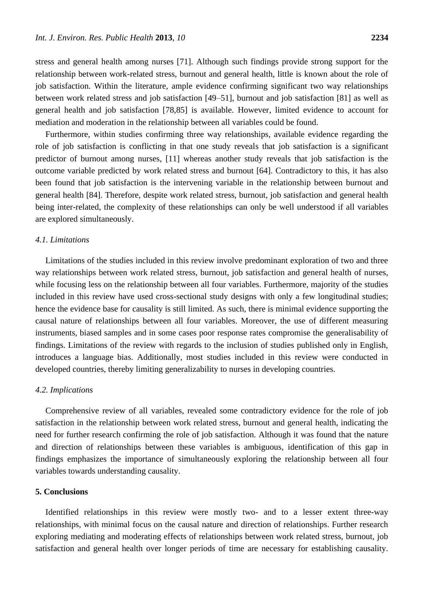stress and general health among nurses [71]. Although such findings provide strong support for the relationship between work-related stress, burnout and general health, little is known about the role of job satisfaction. Within the literature, ample evidence confirming significant two way relationships between work related stress and job satisfaction [49–51], burnout and job satisfaction [81] as well as general health and job satisfaction [78,85] is available. However, limited evidence to account for mediation and moderation in the relationship between all variables could be found.

Furthermore, within studies confirming three way relationships, available evidence regarding the role of job satisfaction is conflicting in that one study reveals that job satisfaction is a significant predictor of burnout among nurses, [11] whereas another study reveals that job satisfaction is the outcome variable predicted by work related stress and burnout [64]. Contradictory to this, it has also been found that job satisfaction is the intervening variable in the relationship between burnout and general health [84]. Therefore, despite work related stress, burnout, job satisfaction and general health being inter-related, the complexity of these relationships can only be well understood if all variables are explored simultaneously.

## *4.1. Limitations*

Limitations of the studies included in this review involve predominant exploration of two and three way relationships between work related stress, burnout, job satisfaction and general health of nurses, while focusing less on the relationship between all four variables. Furthermore, majority of the studies included in this review have used cross-sectional study designs with only a few longitudinal studies; hence the evidence base for causality is still limited. As such, there is minimal evidence supporting the causal nature of relationships between all four variables. Moreover, the use of different measuring instruments, biased samples and in some cases poor response rates compromise the generalisability of findings. Limitations of the review with regards to the inclusion of studies published only in English, introduces a language bias. Additionally, most studies included in this review were conducted in developed countries, thereby limiting generalizability to nurses in developing countries.

#### *4.2. Implications*

Comprehensive review of all variables, revealed some contradictory evidence for the role of job satisfaction in the relationship between work related stress, burnout and general health, indicating the need for further research confirming the role of job satisfaction. Although it was found that the nature and direction of relationships between these variables is ambiguous, identification of this gap in findings emphasizes the importance of simultaneously exploring the relationship between all four variables towards understanding causality.

## **5. Conclusions**

Identified relationships in this review were mostly two- and to a lesser extent three-way relationships, with minimal focus on the causal nature and direction of relationships. Further research exploring mediating and moderating effects of relationships between work related stress, burnout, job satisfaction and general health over longer periods of time are necessary for establishing causality.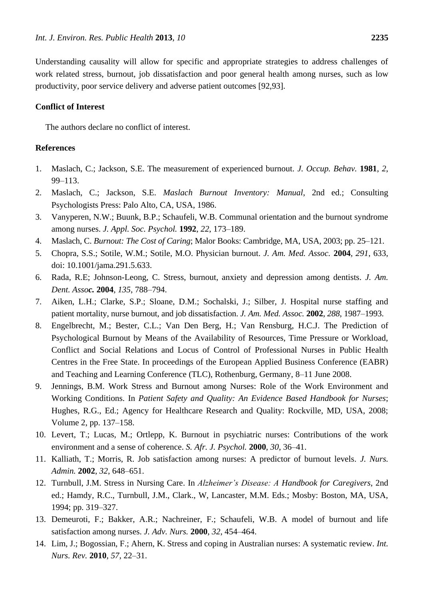Understanding causality will allow for specific and appropriate strategies to address challenges of work related stress, burnout, job dissatisfaction and poor general health among nurses, such as low productivity, poor service delivery and adverse patient outcomes [92,93].

# **Conflict of Interest**

The authors declare no conflict of interest.

# **References**

- 1. Maslach, C.; Jackson, S.E. The measurement of experienced burnout. *J. Occup. Behav.* **1981**, *2*, 99–113.
- 2. Maslach, C.; Jackson, S.E. *Maslach Burnout Inventory: Manual*, 2nd ed.; Consulting Psychologists Press: Palo Alto, CA, USA, 1986.
- 3. Vanyperen, N.W.; Buunk, B.P.; Schaufeli, W.B. Communal orientation and the burnout syndrome among nurses. *J. Appl. Soc. Psychol.* **1992**, *22*, 173–189.
- 4. Maslach, C. *Burnout: The Cost of Caring*; Malor Books: Cambridge, MA, USA, 2003; pp. 25–121.
- 5. Chopra, S.S.; Sotile, W.M.; Sotile, M.O. Physician burnout. *J. Am. Med. Assoc.* **2004**, *291*, 633, doi: 10.1001/jama.291.5.633.
- 6. Rada, R.E; Johnson-Leong, C. Stress, burnout, anxiety and depression among dentists. *J. Am. Dent. Assoc.* **2004**, *135*, 788–794.
- 7. Aiken, L.H.; Clarke, S.P.; Sloane, D.M.; Sochalski, J.; Silber, J. Hospital nurse staffing and patient mortality, nurse burnout, and job dissatisfaction. *J. Am. Med. Assoc.* **2002**, *288*, 1987–1993.
- 8. Engelbrecht, M.; Bester, C.L.; Van Den Berg, H.; Van Rensburg, H.C.J. The Prediction of Psychological Burnout by Means of the Availability of Resources, Time Pressure or Workload, Conflict and Social Relations and Locus of Control of Professional Nurses in Public Health Centres in the Free State. In proceedings of the European Applied Business Conference (EABR) and Teaching and Learning Conference (TLC), Rothenburg, Germany, 8–11 June 2008.
- 9. Jennings, B.M. Work Stress and Burnout among Nurses: Role of the Work Environment and Working Conditions. In *Patient Safety and Quality: An Evidence Based Handbook for Nurses*; Hughes, R.G., Ed.; Agency for Healthcare Research and Quality: Rockville, MD, USA, 2008; Volume 2, pp. 137–158.
- 10. Levert, T.; Lucas, M.; Ortlepp, K. Burnout in psychiatric nurses: Contributions of the work environment and a sense of coherence. *S. Afr. J. Psychol.* **2000**, *30*, 36–41.
- 11. Kalliath, T.; Morris, R. Job satisfaction among nurses: A predictor of burnout levels. *J. Nurs. Admin.* **2002**, *32*, 648–651.
- 12. Turnbull, J.M. Stress in Nursing Care. In *Alzheimer's Disease: A Handbook for Caregivers*, 2nd ed.; Hamdy, R.C., Turnbull, J.M., Clark., W, Lancaster, M.M. Eds.; Mosby: Boston, MA, USA, 1994; pp. 319–327.
- 13. Demeuroti, F.; Bakker, A.R.; Nachreiner, F.; Schaufeli, W.B. A model of burnout and life satisfaction among nurses. *J. Adv. Nurs.* **2000**, *32*, 454–464.
- 14. Lim, J.; Bogossian, F.; Ahern, K. Stress and coping in Australian nurses: A systematic review. *Int. Nurs. Rev.* **2010**, *57*, 22–31.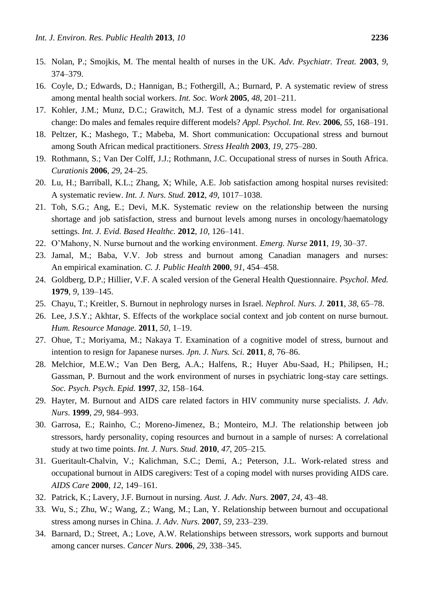- 15. Nolan, P.; Smojkis, M. The mental health of nurses in the UK. *Adv. Psychiatr. Treat.* **2003**, *9*, 374–379.
- 16. Coyle, D.; Edwards, D.; Hannigan, B.; Fothergill, A.; Burnard, P. A systematic review of stress among mental health social workers. *Int. Soc. Work* **2005**, *48*, 201–211.
- 17. Kohler, J.M.; Munz, D.C.; Grawitch, M.J. Test of a dynamic stress model for organisational change: Do males and females require different models? *Appl. Psychol. Int. Rev.* **2006**, *55*, 168–191.
- 18. Peltzer, K.; Mashego, T.; Mabeba, M. Short communication: Occupational stress and burnout among South African medical practitioners. *Stress Health* **2003**, *19*, 275–280.
- 19. Rothmann, S.; Van Der Colff, J.J.; Rothmann, J.C. Occupational stress of nurses in South Africa. *Curationis* **2006**, *29*, 24–25.
- 20. Lu, H.; Barriball, K.L.; Zhang, X; While, A.E. Job satisfaction among hospital nurses revisited: A systematic review. *Int. J. Nurs. Stud.* **2012**, *49*, 1017–1038.
- 21. Toh, S.G.; Ang, E.; Devi, M.K. Systematic review on the relationship between the nursing shortage and job satisfaction, stress and burnout levels among nurses in oncology/haematology settings. *Int. J. Evid. Based Healthc.* **2012**, *10*, 126–141.
- 22. O'Mahony, N. Nurse burnout and the working environment. *Emerg. Nurse* **2011**, *19*, 30–37.
- 23. Jamal, M.; Baba, V.V. Job stress and burnout among Canadian managers and nurses: An empirical examination. *C. J. Public Health* **2000**, *91*, 454–458.
- 24. Goldberg, D.P.; Hillier, V.F. A scaled version of the General Health Questionnaire. *Psychol. Med.* **1979**, *9*, 139–145.
- 25. Chayu, T.; Kreitler, S. Burnout in nephrology nurses in Israel. *Nephrol. Nurs. J.* **2011**, *38*, 65–78.
- 26. Lee, J.S.Y.; Akhtar, S. Effects of the workplace social context and job content on nurse burnout. *Hum. Resource Manage.* **2011**, *50*, 1–19.
- 27. Ohue, T.; Moriyama, M.; Nakaya T. Examination of a cognitive model of stress, burnout and intention to resign for Japanese nurses. *Jpn. J. Nurs. Sci.* **2011**, *8*, 76–86.
- 28. Melchior, M.E.W.; Van Den Berg, A.A.; Halfens, R.; Huyer Abu-Saad, H.; Philipsen, H.; Gassman, P. Burnout and the work environment of nurses in psychiatric long-stay care settings. *Soc. Psych. Psych. Epid.* **1997**, *32*, 158–164.
- 29. Hayter, M. Burnout and AIDS care related factors in HIV community nurse specialists. *J. Adv. Nurs.* **1999**, *29*, 984–993.
- 30. Garrosa, E.; Rainho, C.; Moreno-Jimenez, B.; Monteiro, M.J. The relationship between job stressors, hardy personality, coping resources and burnout in a sample of nurses: A correlational study at two time points. *Int. J. Nurs. Stud.* **2010**, *47*, 205–215*.*
- 31. Gueritault-Chalvin, V.; Kalichman, S.C.; Demi, A.; Peterson, J.L. Work-related stress and occupational burnout in AIDS caregivers: Test of a coping model with nurses providing AIDS care. *AIDS Care* **2000**, *12*, 149–161.
- 32. Patrick, K.; Lavery, J.F. Burnout in nursing. *Aust. J. Adv. Nurs.* **2007**, *24*, 43–48.
- 33. Wu, S.; Zhu, W.; Wang, Z.; Wang, M.; Lan, Y. Relationship between burnout and occupational stress among nurses in China. *J. Adv. Nurs.* **2007**, *59*, 233–239.
- 34. Barnard, D.; Street, A.; Love, A.W. Relationships between stressors, work supports and burnout among cancer nurses. *Cancer Nurs.* **2006**, *29*, 338–345.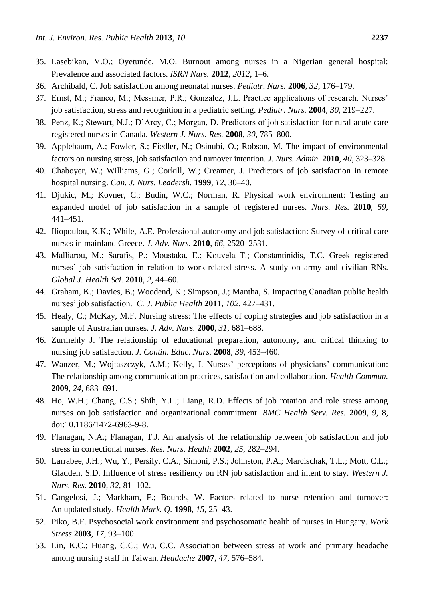- 35. Lasebikan, V.O.; Oyetunde, M.O. Burnout among nurses in a Nigerian general hospital: Prevalence and associated factors. *ISRN Nurs.* **2012**, *2012*, 1–6.
- 36. Archibald, C. Job satisfaction among neonatal nurses. *Pediatr. Nurs.* **2006**, *32*, 176–179.
- 37. Ernst, M.; Franco, M.; Messmer, P.R.; Gonzalez, J.L. Practice applications of research. Nurses' job satisfaction, stress and recognition in a pediatric setting. *Pediatr. Nurs.* **2004**, *30*, 219–227.
- 38. Penz, K.; Stewart, N.J.; D'Arcy, C.; Morgan, D. Predictors of job satisfaction for rural acute care registered nurses in Canada. *Western J. Nurs. Res.* **2008**, *30*, 785–800.
- 39. Applebaum, A.; Fowler, S.; Fiedler, N.; Osinubi, O.; Robson, M. The impact of environmental factors on nursing stress, job satisfaction and turnover intention. *J. Nurs. Admin.* **2010**, *40*, 323–328.
- 40. Chaboyer*,* W.; Williams*,* G.; Corkill*,* W.; Creamer*,* J. Predictors of job satisfaction in remote hospital nursing. *Can. J. Nurs. Leadersh.* **1999**, *12*, 30–40.
- 41. Djukic, M.; Kovner, C.; Budin, W.C.; Norman, R. Physical work environment: Testing an expanded model of job satisfaction in a sample of registered nurses. *Nurs. Res.* **2010**, *59*, 441–451.
- 42. Iliopoulou, K.K.; While, A.E. Professional autonomy and job satisfaction: Survey of critical care nurses in mainland Greece. *J. Adv. Nurs.* **2010**, *66*, 2520–2531.
- 43. Malliarou, M.; Sarafis, P.; Moustaka, E.; Kouvela T.; Constantinidis, Τ.C. Greek registered nurses' job satisfaction in relation to work-related stress. A study on army and civilian RNs. *Global J. Health Sci.* **2010**, *2*, 44–60.
- 44. Graham, K.; Davies, B.; Woodend, K.; Simpson, J.; Mantha, S. Impacting Canadian public health nurses' job satisfaction. *C. J. Public Health* **2011**, *102*, 427–431.
- 45. Healy, C.; McKay, M.F. Nursing stress: The effects of coping strategies and job satisfaction in a sample of Australian nurses. *J. Adv. Nurs.* **2000**, *31*, 681–688.
- 46. Zurmehly J. The relationship of educational preparation, autonomy, and critical thinking to nursing job satisfaction. *J. Contin. Educ. Nurs.* **2008**, *39*, 453–460.
- 47. Wanzer, M.; Wojtaszczyk, A.M.; Kelly, J. Nurses' perceptions of physicians' communication: The relationship among communication practices, satisfaction and collaboration. *Health Commun.* **2009**, *24*, 683–691.
- 48. Ho, W.H.; Chang, C.S.; Shih, Y.L.; Liang, R.D. Effects of job rotation and role stress among nurses on job satisfaction and organizational commitment. *BMC Health Serv. Res.* **2009**, *9*, 8, doi:10.1186/1472-6963-9-8.
- 49. Flanagan, N.A.; Flanagan, T.J. An analysis of the relationship between job satisfaction and job stress in correctional nurses. *Res. Nurs. Health* **2002**, *25*, 282–294.
- 50. Larrabee, J.H.; Wu, Y.; Persily, C.A.; Simoni, P.S.; Johnston, P.A.; Marcischak, T.L.; Mott, C.L.; Gladden, S.D. Influence of stress resiliency on RN job satisfaction and intent to stay. *Western J. Nurs. Res.* **2010**, *32*, 81–102.
- 51. Cangelosi, J.; Markham, F.; Bounds, W. Factors related to nurse retention and turnover: An updated study. *Health Mark. Q.* **1998**, *15*, 25–43.
- 52. Piko, B.F. Psychosocial work environment and psychosomatic health of nurses in Hungary. *Work Stress* **2003**, *17*, 93–100.
- 53. Lin, K.C.; Huang, C.C.; Wu, C.C*.* Association between stress at work and primary headache among nursing staff in Taiwan*. Headache* **2007**, *47*, 576–584.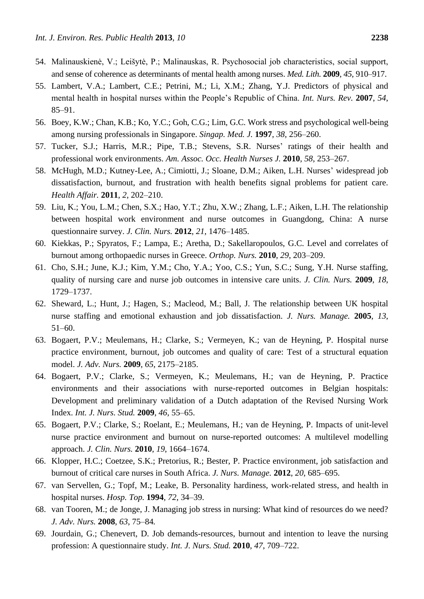- 54. Malinauskienė, V.; Leišytė, P.; Malinauskas, R. Psychosocial job characteristics, social support, and sense of coherence as determinants of mental health among nurses. *Med. Lith.* **2009**, *45*, 910–917.
- 55. Lambert, V.A.; Lambert, C.E.; Petrini, M.; Li, X.M.; Zhang, Y.J. Predictors of physical and mental health in hospital nurses within the People's Republic of China. *Int. Nurs. Rev.* **2007**, *54*, 85–91.
- 56. Boey, K.W.; Chan, K.B.; Ko, Y.C.; Goh, C.G.; Lim, G.C. Work stress and psychological well-being among nursing professionals in Singapore. *Singap. Med. J.* **1997**, *38*, 256–260.
- 57. Tucker, S.J.; Harris, M.R.; Pipe, T.B.; Stevens, S.R. Nurses' ratings of their health and professional work environments. *Am. Assoc. Occ. Health Nurses J.* **2010**, *58*, 253–267.
- 58. McHugh, M.D.; Kutney-Lee, A.; Cimiotti, J.; Sloane, D.M.; Aiken, L.H. Nurses' widespread job dissatisfaction, burnout, and frustration with health benefits signal problems for patient care. *Health Affair.* **2011**, *2*, 202–210.
- 59. Liu, K.; You, L.M.; Chen, S.X.; Hao, Y.T.; Zhu, X.W.; Zhang, L.F.; Aiken, L.H. The relationship between hospital work environment and nurse outcomes in Guangdong, China: A nurse questionnaire survey. *J. Clin. Nurs.* **2012**, *21*, 1476–1485.
- 60. Kiekkas, P.; Spyratos, F.; Lampa, E.; Aretha, D.; Sakellaropoulos, G.C. Level and correlates of burnout among orthopaedic nurses in Greece. *Orthop. Nurs.* **2010**, *29*, 203–209.
- 61. Cho, S.H.; June, K.J.; Kim, Y.M.; Cho, Y.A.; Yoo, C.S.; Yun, S.C.; Sung, Y.H. Nurse staffing, quality of nursing care and nurse job outcomes in intensive care units. *J. Clin. Nurs.* **2009**, *18*, 1729–1737.
- 62. Sheward, L.; Hunt, J.; Hagen, S.; Macleod, M.; Ball, J. The relationship between UK hospital nurse staffing and emotional exhaustion and job dissatisfaction. *J. Nurs. Manage.* **2005**, *13*, 51–60.
- 63. Bogaert, P.V.; Meulemans, H.; Clarke, S.; Vermeyen, K.; van de Heyning, P. Hospital nurse practice environment*,* burnout, job outcomes and quality of care: Test of a structural equation model. *J. Adv. Nurs.* **2009**, *65*, 2175–2185.
- 64. Bogaert, P.V.; Clarke, S.; Vermeyen, K.; Meulemans, H.; van de Heyning, P. Practice environments and their associations with nurse-reported outcomes in Belgian hospitals: Development and preliminary validation of a Dutch adaptation of the Revised Nursing Work Index. *Int. J. Nurs. Stud.* **2009**, *46*, 55–65.
- 65. Bogaert, P.V.; Clarke, S.; Roelant, E.; Meulemans, H.; van de Heyning, P. Impacts of unit-level nurse practice environment and burnout on nurse-reported outcomes: A multilevel modelling approach. *J. Clin. Nurs.* **2010**, *19*, 1664–1674.
- 66. Klopper, H.C.; Coetzee, S.K.; Pretorius, R.; Bester, P. Practice environment, job satisfaction and burnout of critical care nurses in South Africa. *J. Nurs. Manage.* **2012**, *20*, 685–695.
- 67. van Servellen, G.; Topf, M.; Leake, B. Personality hardiness, work-related stress, and health in hospital nurses. *Hosp. Top.* **1994**, *72*, 34–39.
- 68. van Tooren, M.; de Jonge, J. Managing job stress in nursing: What kind of resources do we need? *J. Adv. Nurs.* **2008**, *63*, 75–84*.*
- 69. Jourdain, G.; Chenevert, D. Job demands-resources, burnout and intention to leave the nursing profession: A questionnaire study. *Int. J. Nurs. Stud.* **2010**, *47*, 709–722.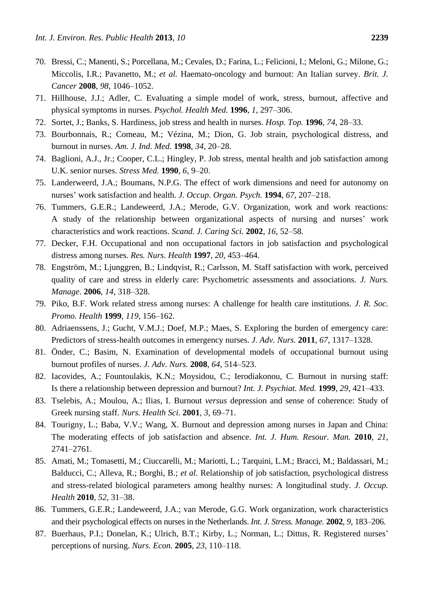- 70. Bressi, C.; Manenti, S.; Porcellana, M.; Cevales, D.; Farina, L.; Felicioni, I.; Meloni, G.; Milone, G.; Miccolis, I.R.; Pavanetto, M.; *et al.* Haemato-oncology and burnout: An Italian survey. *Brit. J. Cancer* **2008**, *98*, 1046–1052.
- 71. Hillhouse, J.J.; Adler, C. Evaluating a simple model of work, stress, burnout, affective and physical symptoms in nurses. *Psychol. Health Med.* **1996**, *1*, 297–306.
- 72. Sortet, J.; Banks, S. Hardiness, job stress and health in nurses. *Hosp. Top.* **1996**, *74*, 28–33.
- 73. Bourbonnais, R.; Comeau, M.; Vézina, M.; Dion, G. Job strain, psychological distress, and burnout in nurses. *Am. J. Ind. Med.* **1998**, *34*, 20–28.
- 74. Baglioni, A.J., Jr.; Cooper, C.L.; Hingley, P. Job stress, mental health and job satisfaction among U.K. senior nurses. *Stress Med.* **1990**, *6*, 9–20.
- 75. Landerweerd, J.A.; Boumans, N.P.G. The effect of work dimensions and need for autonomy on nurses' work satisfaction and health. *J. Occup. Organ. Psych.* **1994**, *67*, 207–218.
- 76. Tummers, G.E.R.; Landeweerd, J.A.; Merode, G.V. Organization, work and work reactions: A study of the relationship between organizational aspects of nursing and nurses' work characteristics and work reactions. *Scand. J. Caring Sci.* **2002**, *16*, 52–58.
- 77. Decker, F.H. Occupational and non occupational factors in job satisfaction and psychological distress among nurses. *Res. Nurs. Health* **1997**, *20*, 453–464.
- 78. Engström, M.; Ljunggren, B.; Lindqvist, R.; Carlsson, M. Staff satisfaction with work, perceived quality of care and stress in elderly care: Psychometric assessments and associations. *J. Nurs. Manage.* **2006**, *14*, 318–328.
- 79. Piko, B.F. Work related stress among nurses: A challenge for health care institutions. *J. R. Soc. Promo. Health* **1999**, *119*, 156–162.
- 80. Adriaenssens, J.; Gucht, V.M.J.; Doef, M.P.; Maes, S. Exploring the burden of emergency care: Predictors of stress-health outcomes in emergency nurses. *J. Adv. Nurs.* **2011**, *67*, 1317–1328.
- 81. Önder, C.; Basim, N. Examination of developmental models of occupational burnout using burnout profiles of nurses. *J. Adv. Nurs.* **2008**, *64*, 514–523.
- 82. Iacovides, A.; Fountoulakis, K.N.; Moysidou, C.; Ierodiakonou, C. Burnout in nursing staff: Is there a relationship between depression and burnout? *Int. J. Psychiat. Med.* **1999**, *29*, 421–433.
- 83. Tselebis, A.; Moulou, A.; Ilias, I. Burnout *versus* depression and sense of coherence: Study of Greek nursing staff. *Nurs. Health Sci.* **2001**, *3*, 69–71.
- 84. Tourigny, L.; Baba, V.V.; Wang, X. Burnout and depression among nurses in Japan and China: The moderating effects of job satisfaction and absence. *Int. J. Hum. Resour. Man.* **2010**, *21*, 2741–2761.
- 85. Amati, M.; Tomasetti, M.; Ciuccarelli, M.; Mariotti, L.; Tarquini, L.M.; Bracci, M.; Baldassari, M.; Balducci, C.; Alleva, R.; Borghi, B.; *et al.* Relationship of job satisfaction, psychological distress and stress-related biological parameters among healthy nurses: A longitudinal study. *J. Occup. Health* **2010**, *52*, 31–38.
- 86. Tummers, G.E.R.; Landeweerd, J.A.; van Merode, G.G. Work organization, work characteristics and their psychological effects on nurses in the Netherlands. *Int. J. Stress. Manage.* **2002**, *9*, 183–206.
- 87. Buerhaus, P.I.; Donelan, K.; Ulrich, B.T.; Kirby, L.; Norman, L.; Dittus, R. Registered nurses' perceptions of nursing. *Nurs. Econ.* **2005**, *23*, 110–118.